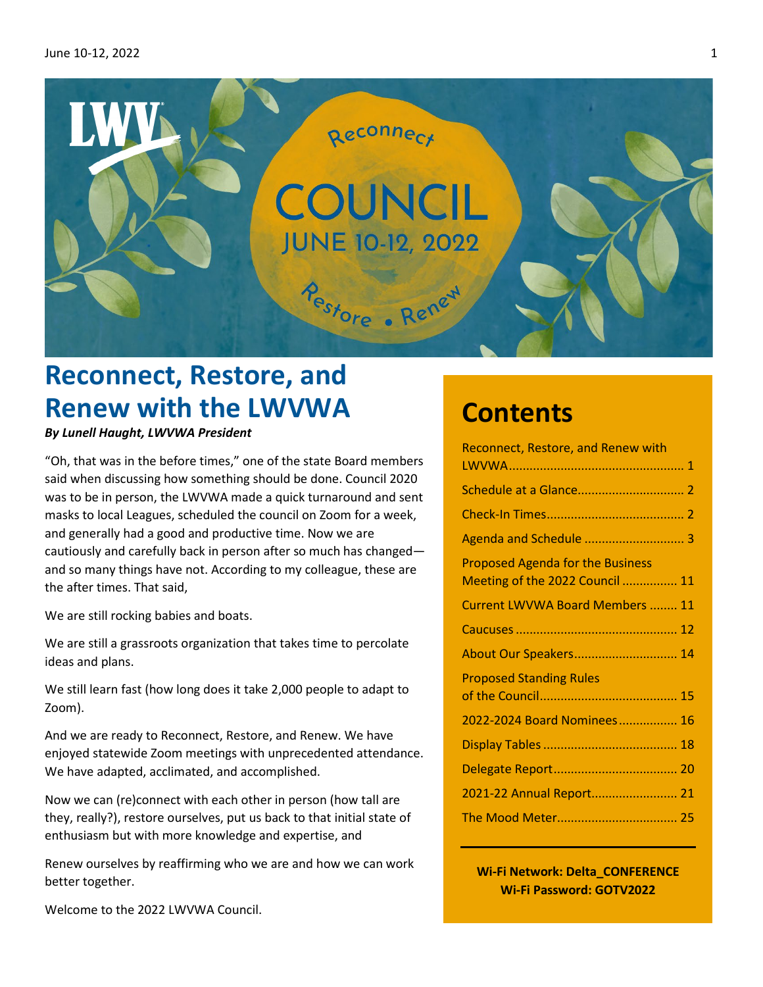

# **Reconnect, Restore, and Renew with the LWVWA**

## *By Lunell Haught, LWVWA President*

"Oh, that was in the before times," one of the state Board members said when discussing how something should be done. Council 2020 was to be in person, the LWVWA made a quick turnaround and sent masks to local Leagues, scheduled the council on Zoom for a week, and generally had a good and productive time. Now we are cautiously and carefully back in person after so much has changed and so many things have not. According to my colleague, these are the after times. That said,

We are still rocking babies and boats.

We are still a grassroots organization that takes time to percolate ideas and plans.

We still learn fast (how long does it take 2,000 people to adapt to Zoom).

And we are ready to Reconnect, Restore, and Renew. We have enjoyed statewide Zoom meetings with unprecedented attendance. We have adapted, acclimated, and accomplished.

Now we can (re)connect with each other in person (how tall are they, really?), restore ourselves, put us back to that initial state of enthusiasm but with more knowledge and expertise, and

Renew ourselves by reaffirming who we are and how we can work better together.

Welcome to the 2022 LWVWA Council.

# **Contents**

| <b>Reconnect, Restore, and Renew with</b>                                  |    |
|----------------------------------------------------------------------------|----|
|                                                                            |    |
|                                                                            |    |
|                                                                            |    |
|                                                                            |    |
| <b>Proposed Agenda for the Business</b><br>Meeting of the 2022 Council  11 |    |
| <b>Current LWVWA Board Members </b>                                        | 11 |
|                                                                            |    |
| About Our Speakers 14                                                      |    |
| <b>Proposed Standing Rules</b>                                             |    |
| 2022-2024 Board Nominees 16                                                |    |
|                                                                            |    |
|                                                                            |    |
| 2021-22 Annual Report 21                                                   |    |
|                                                                            |    |
|                                                                            |    |

**Wi-Fi Network: Delta\_CONFERENCE Wi-Fi Password: GOTV2022**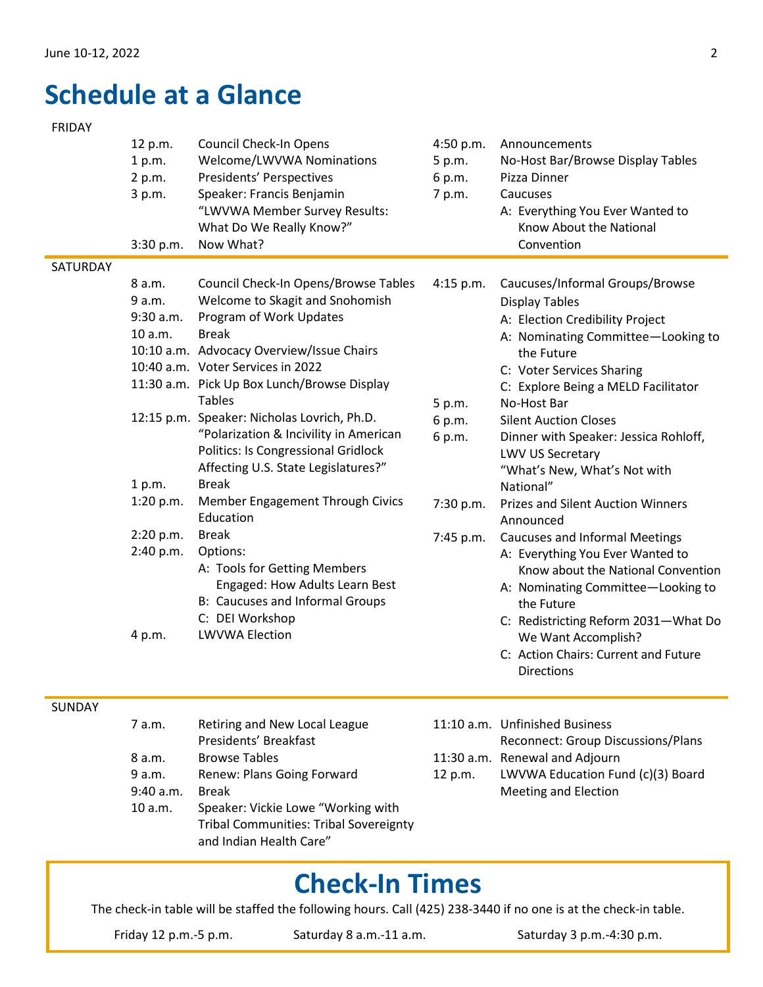# <span id="page-1-0"></span>**Schedule at a Glance**

### FRIDAY

|               | 12 p.m.<br>1 p.m.<br>2 p.m.<br>3 p.m.<br>3:30 p.m. | <b>Council Check-In Opens</b><br>Welcome/LWVWA Nominations<br>Presidents' Perspectives<br>Speaker: Francis Benjamin<br>"LWVWA Member Survey Results:<br>What Do We Really Know?"<br>Now What?                                                                                                                                                                                                                                                      | 4:50 p.m.<br>5 p.m.<br>6 p.m.<br>7 p.m. | Announcements<br>No-Host Bar/Browse Display Tables<br>Pizza Dinner<br>Caucuses<br>A: Everything You Ever Wanted to<br>Know About the National<br>Convention                                                                                                                                                                     |
|---------------|----------------------------------------------------|----------------------------------------------------------------------------------------------------------------------------------------------------------------------------------------------------------------------------------------------------------------------------------------------------------------------------------------------------------------------------------------------------------------------------------------------------|-----------------------------------------|---------------------------------------------------------------------------------------------------------------------------------------------------------------------------------------------------------------------------------------------------------------------------------------------------------------------------------|
| SATURDAY      |                                                    |                                                                                                                                                                                                                                                                                                                                                                                                                                                    |                                         |                                                                                                                                                                                                                                                                                                                                 |
|               | 8 a.m.<br>9 a.m.<br>9:30 a.m.<br>10 a.m.           | Council Check-In Opens/Browse Tables<br>Welcome to Skagit and Snohomish<br>Program of Work Updates<br><b>Break</b><br>10:10 a.m. Advocacy Overview/Issue Chairs<br>10:40 a.m. Voter Services in 2022<br>11:30 a.m. Pick Up Box Lunch/Browse Display<br><b>Tables</b><br>12:15 p.m. Speaker: Nicholas Lovrich, Ph.D.<br>"Polarization & Incivility in American<br><b>Politics: Is Congressional Gridlock</b><br>Affecting U.S. State Legislatures?" | 4:15 p.m.<br>5 p.m.<br>6 p.m.<br>6 p.m. | Caucuses/Informal Groups/Browse<br><b>Display Tables</b><br>A: Election Credibility Project<br>A: Nominating Committee-Looking to<br>the Future<br>C: Voter Services Sharing<br>C: Explore Being a MELD Facilitator<br>No-Host Bar<br><b>Silent Auction Closes</b><br>Dinner with Speaker: Jessica Rohloff,<br>LWV US Secretary |
|               | 1 p.m.                                             | <b>Break</b>                                                                                                                                                                                                                                                                                                                                                                                                                                       |                                         | "What's New, What's Not with<br>National"                                                                                                                                                                                                                                                                                       |
|               | 1:20 p.m.                                          | Member Engagement Through Civics<br>Education                                                                                                                                                                                                                                                                                                                                                                                                      | 7:30 p.m.                               | <b>Prizes and Silent Auction Winners</b><br>Announced                                                                                                                                                                                                                                                                           |
|               | 2:20 p.m.<br>2:40 p.m.                             | <b>Break</b><br>Options:<br>A: Tools for Getting Members<br>Engaged: How Adults Learn Best<br><b>B: Caucuses and Informal Groups</b><br>C: DEI Workshop                                                                                                                                                                                                                                                                                            | 7:45 p.m.                               | <b>Caucuses and Informal Meetings</b><br>A: Everything You Ever Wanted to<br>Know about the National Convention<br>A: Nominating Committee-Looking to<br>the Future<br>C: Redistricting Reform 2031-What Do                                                                                                                     |
|               | 4 p.m.                                             | <b>LWVWA Election</b>                                                                                                                                                                                                                                                                                                                                                                                                                              |                                         | We Want Accomplish?<br>C: Action Chairs: Current and Future<br><b>Directions</b>                                                                                                                                                                                                                                                |
| <b>SUNDAY</b> |                                                    |                                                                                                                                                                                                                                                                                                                                                                                                                                                    |                                         |                                                                                                                                                                                                                                                                                                                                 |
|               | 7 a.m.                                             | Retiring and New Local League<br>Presidents' Breakfast                                                                                                                                                                                                                                                                                                                                                                                             |                                         | 11:10 a.m. Unfinished Business<br>Reconnect: Group Discussions/Plans                                                                                                                                                                                                                                                            |
|               |                                                    |                                                                                                                                                                                                                                                                                                                                                                                                                                                    |                                         |                                                                                                                                                                                                                                                                                                                                 |

8 a.m. Browse Tables 9 a.m. Renew: Plans Going Forward 9:40 a.m. Break 10 a.m. Speaker: Vickie Lowe "Working with Tribal Communities: Tribal Sovereignty and Indian Health Care" 11:30 a.m. Renewal and Adjourn 12 p.m. LWVWA Education Fund (c)(3) Board Meeting and Election

# **Check-In Times**

The check-in table will be staffed the following hours. Call (425) 238-3440 if no one is at the check-in table.

Friday 12 p.m.-5 p.m. Saturday 8 a.m.-11 a.m. Saturday 3 p.m.-4:30 p.m.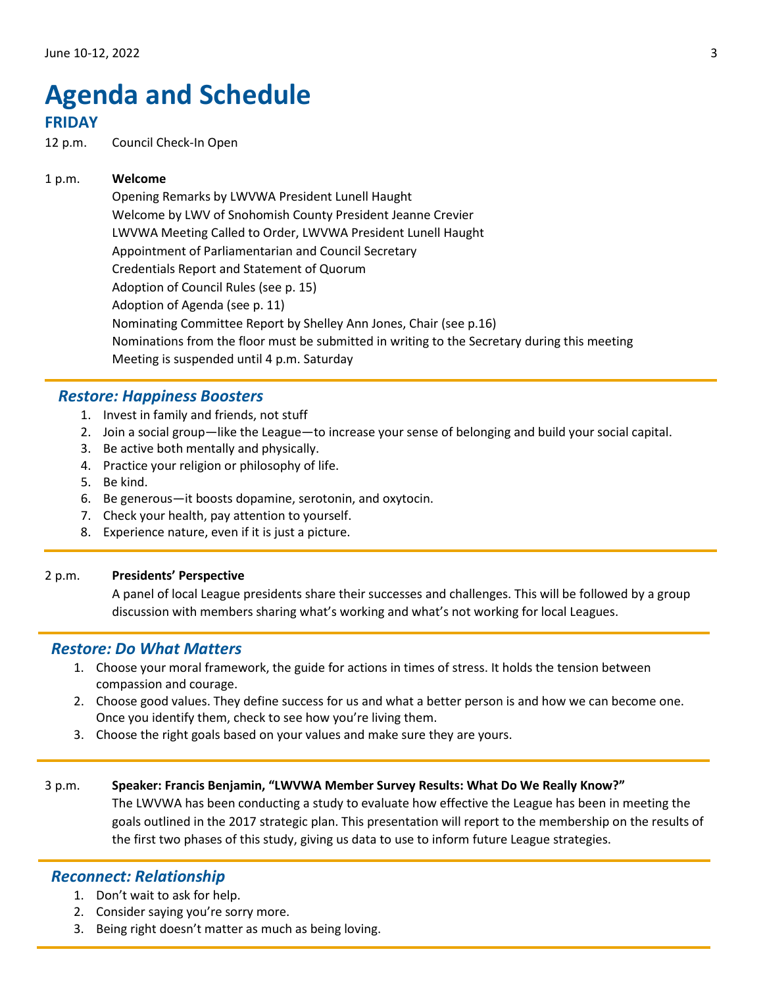# <span id="page-2-0"></span>**Agenda and Schedule**

# **FRIDAY**

12 p.m. Council Check-In Open

## 1 p.m. **Welcome**

Opening Remarks by LWVWA President Lunell Haught Welcome by LWV of Snohomish County President Jeanne Crevier LWVWA Meeting Called to Order, LWVWA President Lunell Haught Appointment of Parliamentarian and Council Secretary Credentials Report and Statement of Quorum Adoption of Council Rules (see p. 15) Adoption of Agenda (see p. [11\)](#page-10-1) Nominating Committee Report by Shelley Ann Jones, Chair (see p.16) Nominations from the floor must be submitted in writing to the Secretary during this meeting Meeting is suspended until 4 p.m. Saturday

# *Restore: Happiness Boosters*

- 1. Invest in family and friends, not stuff
- 2. Join a social group—like the League—to increase your sense of belonging and build your social capital.
- 3. Be active both mentally and physically.
- 4. Practice your religion or philosophy of life.
- 5. Be kind.
- 6. Be generous—it boosts dopamine, serotonin, and oxytocin.
- 7. Check your health, pay attention to yourself.
- 8. Experience nature, even if it is just a picture.

### 2 p.m. **Presidents' Perspective**

A panel of local League presidents share their successes and challenges. This will be followed by a group discussion with members sharing what's working and what's not working for local Leagues.

## *Restore: Do What Matters*

- 1. Choose your moral framework, the guide for actions in times of stress. It holds the tension between compassion and courage.
- 2. Choose good values. They define success for us and what a better person is and how we can become one. Once you identify them, check to see how you're living them.
- 3. Choose the right goals based on your values and make sure they are yours.

### 3 p.m. **Speaker: Francis Benjamin, "LWVWA Member Survey Results: What Do We Really Know?"**

The LWVWA has been conducting a study to evaluate how effective the League has been in meeting the goals outlined in the 2017 strategic plan. This presentation will report to the membership on the results of the first two phases of this study, giving us data to use to inform future League strategies.

## *Reconnect: Relationship*

- 1. Don't wait to ask for help.
- 2. Consider saying you're sorry more.
- 3. Being right doesn't matter as much as being loving.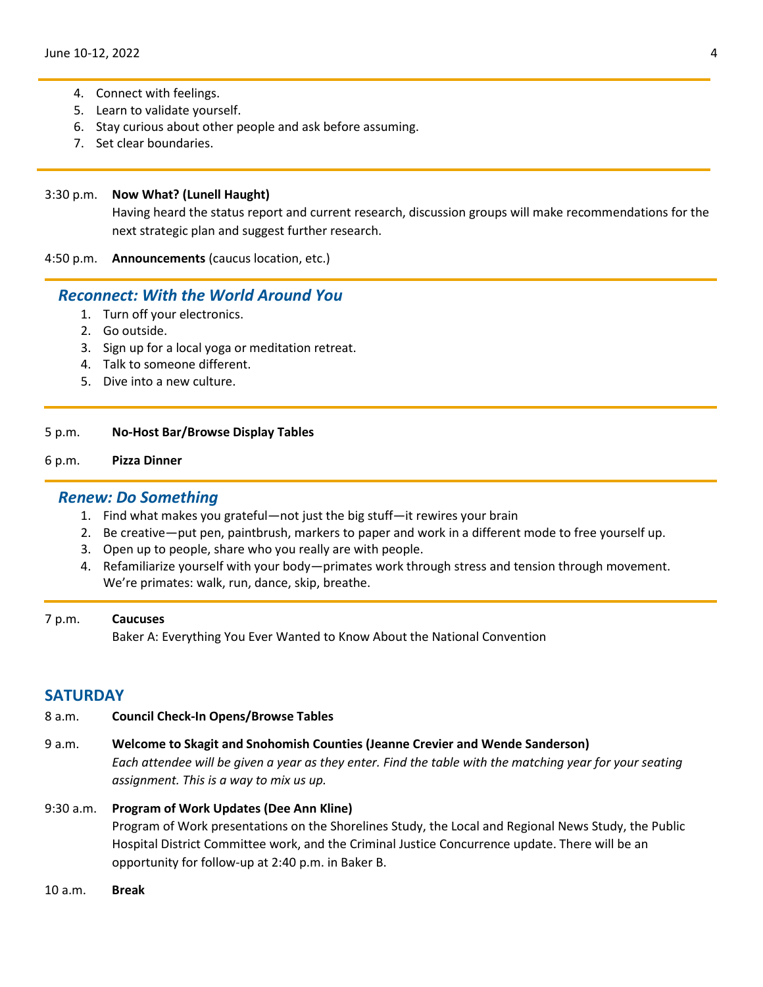- 4. Connect with feelings.
- 5. Learn to validate yourself.
- 6. Stay curious about other people and ask before assuming.
- 7. Set clear boundaries.

### 3:30 p.m. **Now What? (Lunell Haught)**

Having heard the status report and current research, discussion groups will make recommendations for the next strategic plan and suggest further research.

4:50 p.m. **Announcements** (caucus location, etc.)

## *Reconnect: With the World Around You*

- 1. Turn off your electronics.
- 2. Go outside.
- 3. Sign up for a local yoga or meditation retreat.
- 4. Talk to someone different.
- 5. Dive into a new culture.

#### 5 p.m. **No-Host Bar/Browse Display Tables**

## 6 p.m. **Pizza Dinner**

## *Renew: Do Something*

- 1. Find what makes you grateful—not just the big stuff—it rewires your brain
- 2. Be creative—put pen, paintbrush, markers to paper and work in a different mode to free yourself up.
- 3. Open up to people, share who you really are with people.
- 4. Refamiliarize yourself with your body—primates work through stress and tension through movement. We're primates: walk, run, dance, skip, breathe.

### 7 p.m. **Caucuses**

Baker A: Everything You Ever Wanted to Know About the National Convention

## **SATURDAY**

- 8 a.m. **Council Check-In Opens/Browse Tables**
- 9 a.m. **Welcome to Skagit and Snohomish Counties (Jeanne Crevier and Wende Sanderson)** *Each attendee will be given a year as they enter. Find the table with the matching year for your seating assignment. This is a way to mix us up.*

### 9:30 a.m. **Program of Work Updates (Dee Ann Kline)**

Program of Work presentations on the Shorelines Study, the Local and Regional News Study, the Public Hospital District Committee work, and the Criminal Justice Concurrence update. There will be an opportunity for follow-up at 2:40 p.m. in Baker B.

10 a.m. **Break**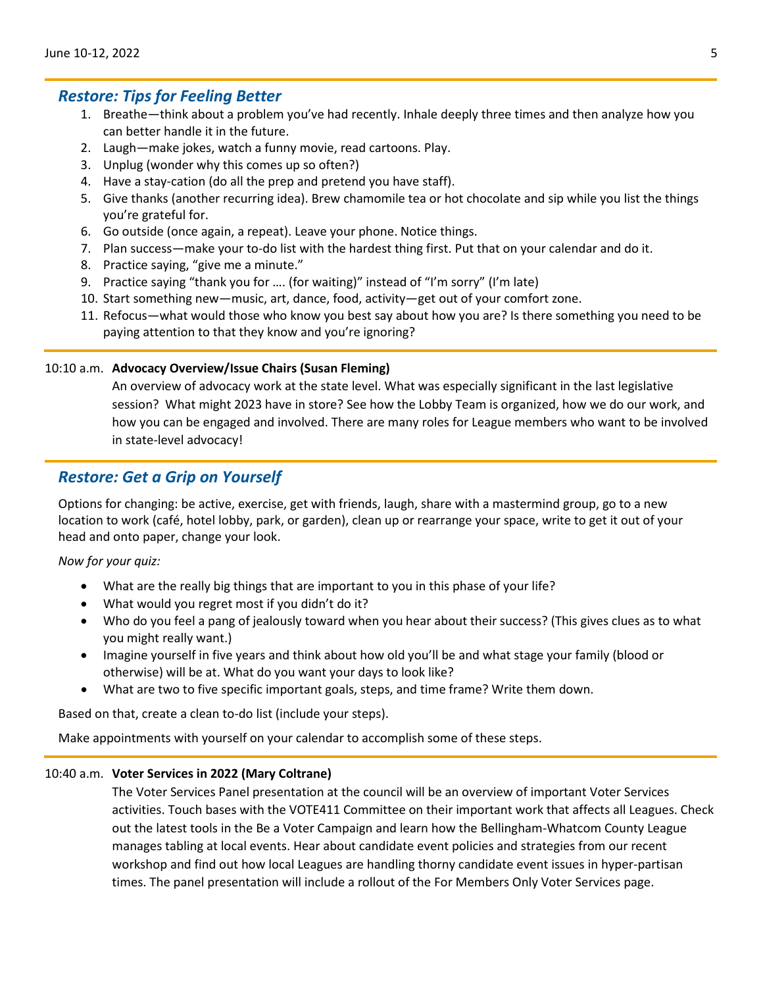# *Restore: Tips for Feeling Better*

- 1. Breathe—think about a problem you've had recently. Inhale deeply three times and then analyze how you can better handle it in the future.
- 2. Laugh—make jokes, watch a funny movie, read cartoons. Play.
- 3. Unplug (wonder why this comes up so often?)
- 4. Have a stay-cation (do all the prep and pretend you have staff).
- 5. Give thanks (another recurring idea). Brew chamomile tea or hot chocolate and sip while you list the things you're grateful for.
- 6. Go outside (once again, a repeat). Leave your phone. Notice things.
- 7. Plan success—make your to-do list with the hardest thing first. Put that on your calendar and do it.
- 8. Practice saying, "give me a minute."
- 9. Practice saying "thank you for …. (for waiting)" instead of "I'm sorry" (I'm late)
- 10. Start something new—music, art, dance, food, activity—get out of your comfort zone.
- 11. Refocus—what would those who know you best say about how you are? Is there something you need to be paying attention to that they know and you're ignoring?

## 10:10 a.m. **Advocacy Overview/Issue Chairs (Susan Fleming)**

An overview of advocacy work at the state level. What was especially significant in the last legislative session? What might 2023 have in store? See how the Lobby Team is organized, how we do our work, and how you can be engaged and involved. There are many roles for League members who want to be involved in state-level advocacy!

# *Restore: Get a Grip on Yourself*

Options for changing: be active, exercise, get with friends, laugh, share with a mastermind group, go to a new location to work (café, hotel lobby, park, or garden), clean up or rearrange your space, write to get it out of your head and onto paper, change your look.

### *Now for your quiz:*

- What are the really big things that are important to you in this phase of your life?
- What would you regret most if you didn't do it?
- Who do you feel a pang of jealously toward when you hear about their success? (This gives clues as to what you might really want.)
- Imagine yourself in five years and think about how old you'll be and what stage your family (blood or otherwise) will be at. What do you want your days to look like?
- What are two to five specific important goals, steps, and time frame? Write them down.

Based on that, create a clean to-do list (include your steps).

Make appointments with yourself on your calendar to accomplish some of these steps.

### 10:40 a.m. **Voter Services in 2022 (Mary Coltrane)**

The Voter Services Panel presentation at the council will be an overview of important Voter Services activities. Touch bases with the VOTE411 Committee on their important work that affects all Leagues. Check out the latest tools in the Be a Voter Campaign and learn how the Bellingham-Whatcom County League manages tabling at local events. Hear about candidate event policies and strategies from our recent workshop and find out how local Leagues are handling thorny candidate event issues in hyper-partisan times. The panel presentation will include a rollout of the For Members Only Voter Services page.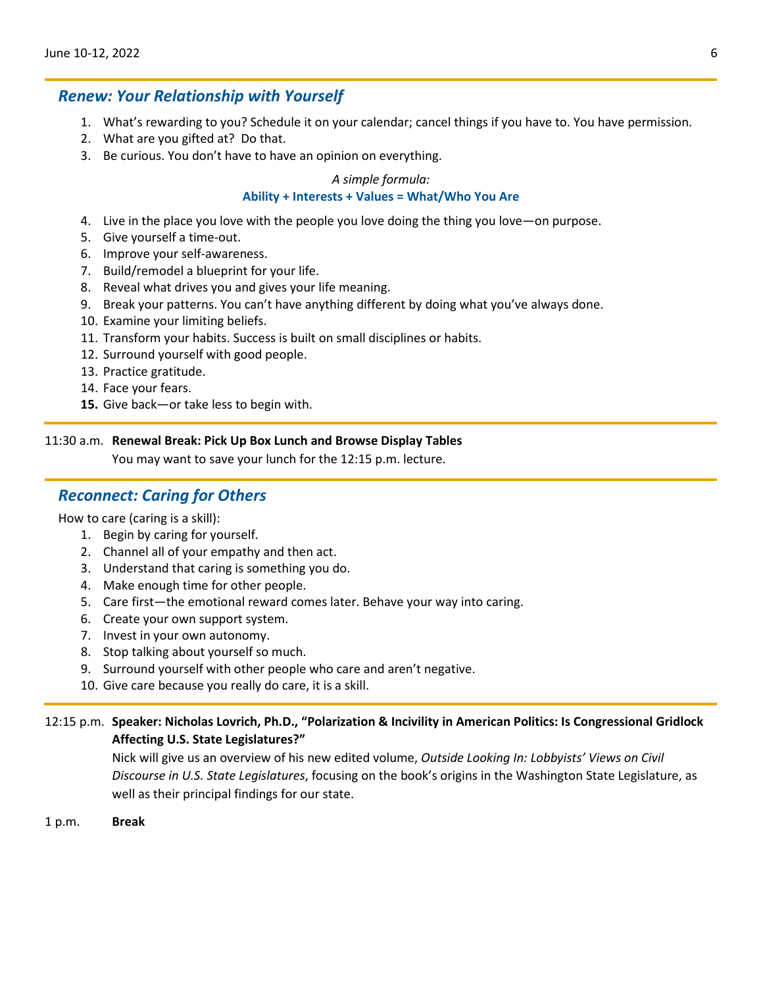## *Renew: Your Relationship with Yourself*

- 1. What's rewarding to you? Schedule it on your calendar; cancel things if you have to. You have permission.
- 2. What are you gifted at? Do that.
- 3. Be curious. You don't have to have an opinion on everything.

#### *A simple formula:*

#### **Ability + Interests + Values = What/Who You Are**

- 4. Live in the place you love with the people you love doing the thing you love—on purpose.
- 5. Give yourself a time-out.
- 6. Improve your self-awareness.
- 7. Build/remodel a blueprint for your life.
- 8. Reveal what drives you and gives your life meaning.
- 9. Break your patterns. You can't have anything different by doing what you've always done.
- 10. Examine your limiting beliefs.
- 11. Transform your habits. Success is built on small disciplines or habits.
- 12. Surround yourself with good people.
- 13. Practice gratitude.
- 14. Face your fears.
- **15.** Give back—or take less to begin with.

### 11:30 a.m. **Renewal Break: Pick Up Box Lunch and Browse Display Tables**

You may want to save your lunch for the 12:15 p.m. lecture.

# *Reconnect: Caring for Others*

How to care (caring is a skill):

- 1. Begin by caring for yourself.
- 2. Channel all of your empathy and then act.
- 3. Understand that caring is something you do.
- 4. Make enough time for other people.
- 5. Care first—the emotional reward comes later. Behave your way into caring.
- 6. Create your own support system.
- 7. Invest in your own autonomy.
- 8. Stop talking about yourself so much.
- 9. Surround yourself with other people who care and aren't negative.
- 10. Give care because you really do care, it is a skill.

## 12:15 p.m. **Speaker: Nicholas Lovrich, Ph.D., "Polarization & Incivility in American Politics: Is Congressional Gridlock Affecting U.S. State Legislatures?"**

Nick will give us an overview of his new edited volume, *Outside Looking In: Lobbyists' Views on Civil Discourse in U.S. State Legislatures*, focusing on the book's origins in the Washington State Legislature, as well as their principal findings for our state.

1 p.m. **Break**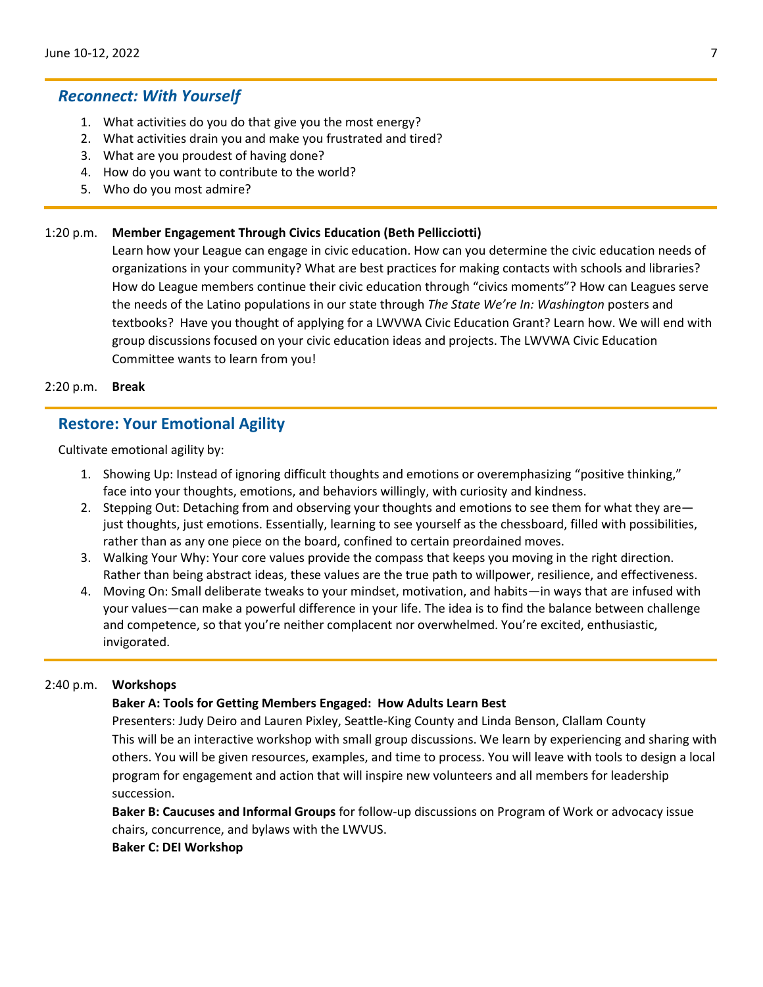## *Reconnect: With Yourself*

- 1. What activities do you do that give you the most energy?
- 2. What activities drain you and make you frustrated and tired?
- 3. What are you proudest of having done?
- 4. How do you want to contribute to the world?
- 5. Who do you most admire?

## 1:20 p.m. **Member Engagement Through Civics Education (Beth Pellicciotti)**

Learn how your League can engage in civic education. How can you determine the civic education needs of organizations in your community? What are best practices for making contacts with schools and libraries? How do League members continue their civic education through "civics moments"? How can Leagues serve the needs of the Latino populations in our state through *The State We're In: Washington* posters and textbooks? Have you thought of applying for a LWVWA Civic Education Grant? Learn how. We will end with group discussions focused on your civic education ideas and projects. The LWVWA Civic Education Committee wants to learn from you!

#### 2:20 p.m. **Break**

## **Restore: Your Emotional Agility**

Cultivate emotional agility by:

- 1. Showing Up: Instead of ignoring difficult thoughts and emotions or overemphasizing "positive thinking," face into your thoughts, emotions, and behaviors willingly, with curiosity and kindness.
- 2. Stepping Out: Detaching from and observing your thoughts and emotions to see them for what they are just thoughts, just emotions. Essentially, learning to see yourself as the chessboard, filled with possibilities, rather than as any one piece on the board, confined to certain preordained moves.
- 3. Walking Your Why: Your core values provide the compass that keeps you moving in the right direction. Rather than being abstract ideas, these values are the true path to willpower, resilience, and effectiveness.
- 4. Moving On: Small deliberate tweaks to your mindset, motivation, and habits—in ways that are infused with your values—can make a powerful difference in your life. The idea is to find the balance between challenge and competence, so that you're neither complacent nor overwhelmed. You're excited, enthusiastic, invigorated.

#### 2:40 p.m. **Workshops**

### **Baker A: Tools for Getting Members Engaged: How Adults Learn Best**

Presenters: Judy Deiro and Lauren Pixley, Seattle-King County and Linda Benson, Clallam County This will be an interactive workshop with small group discussions. We learn by experiencing and sharing with others. You will be given resources, examples, and time to process. You will leave with tools to design a local program for engagement and action that will inspire new volunteers and all members for leadership succession.

**Baker B: Caucuses and Informal Groups** for follow-up discussions on Program of Work or advocacy issue chairs, concurrence, and bylaws with the LWVUS.

### **Baker C: DEI Workshop**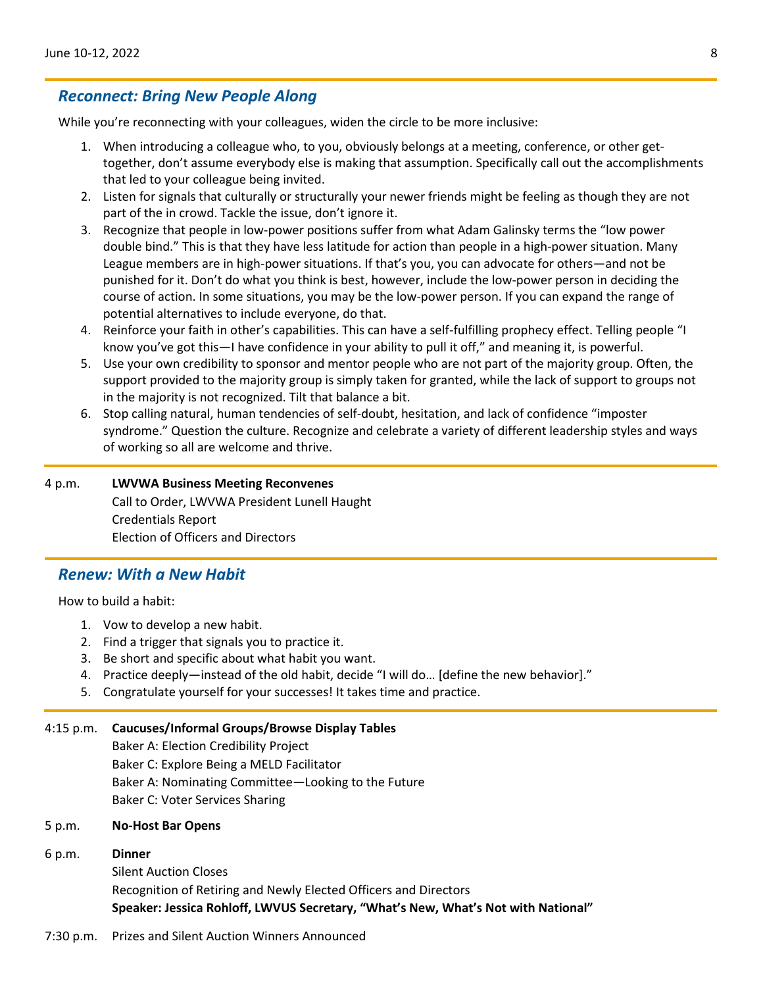# *Reconnect: Bring New People Along*

While you're reconnecting with your colleagues, widen the circle to be more inclusive:

- 1. When introducing a colleague who, to you, obviously belongs at a meeting, conference, or other gettogether, don't assume everybody else is making that assumption. Specifically call out the accomplishments that led to your colleague being invited.
- 2. Listen for signals that culturally or structurally your newer friends might be feeling as though they are not part of the in crowd. Tackle the issue, don't ignore it.
- 3. Recognize that people in low-power positions suffer from what Adam Galinsky terms the "low power double bind." This is that they have less latitude for action than people in a high-power situation. Many League members are in high-power situations. If that's you, you can advocate for others—and not be punished for it. Don't do what you think is best, however, include the low-power person in deciding the course of action. In some situations, you may be the low-power person. If you can expand the range of potential alternatives to include everyone, do that.
- 4. Reinforce your faith in other's capabilities. This can have a self-fulfilling prophecy effect. Telling people "I know you've got this—I have confidence in your ability to pull it off," and meaning it, is powerful.
- 5. Use your own credibility to sponsor and mentor people who are not part of the majority group. Often, the support provided to the majority group is simply taken for granted, while the lack of support to groups not in the majority is not recognized. Tilt that balance a bit.
- 6. Stop calling natural, human tendencies of self-doubt, hesitation, and lack of confidence "imposter syndrome." Question the culture. Recognize and celebrate a variety of different leadership styles and ways of working so all are welcome and thrive.

# 4 p.m. **LWVWA Business Meeting Reconvenes** Call to Order, LWVWA President Lunell Haught

Credentials Report Election of Officers and Directors

## *Renew: With a New Habit*

How to build a habit:

- 1. Vow to develop a new habit.
- 2. Find a trigger that signals you to practice it.
- 3. Be short and specific about what habit you want.
- 4. Practice deeply—instead of the old habit, decide "I will do… [define the new behavior]."
- 5. Congratulate yourself for your successes! It takes time and practice.

### 4:15 p.m. **Caucuses/Informal Groups/Browse Display Tables**

Baker A: Election Credibility Project Baker C: Explore Being a MELD Facilitator Baker A: Nominating Committee—Looking to the Future Baker C: Voter Services Sharing

### 5 p.m. **No-Host Bar Opens**

### 6 p.m. **Dinner**

Silent Auction Closes Recognition of Retiring and Newly Elected Officers and Directors **Speaker: Jessica Rohloff, LWVUS Secretary, "What's New, What's Not with National"**

7:30 p.m. Prizes and Silent Auction Winners Announced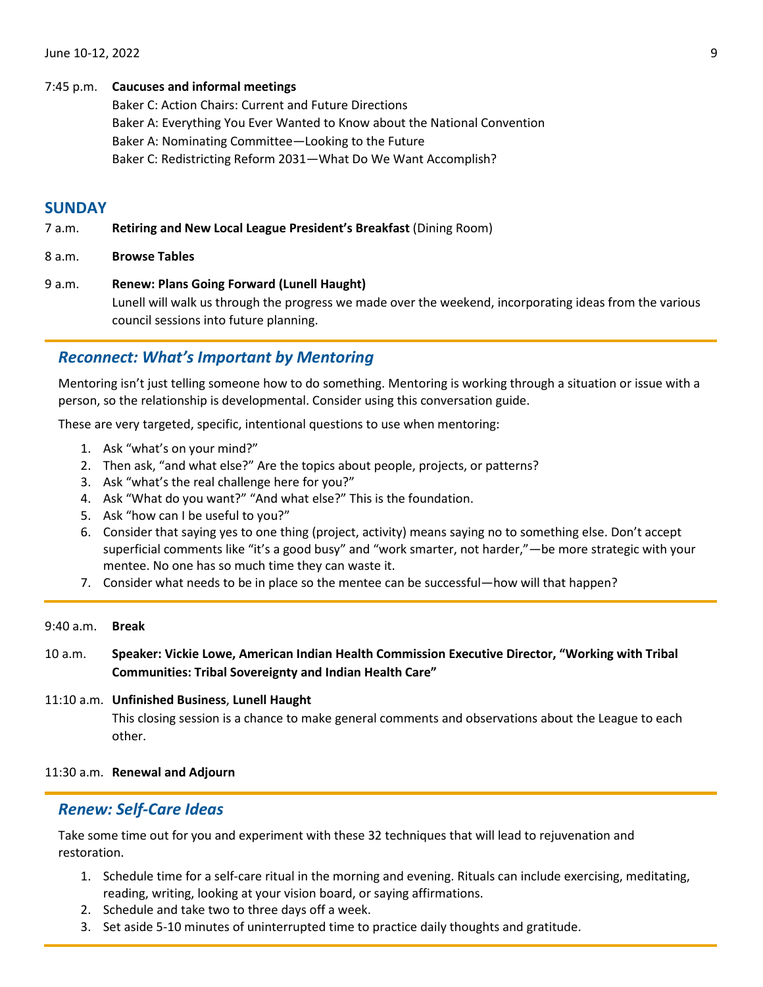### 7:45 p.m. **Caucuses and informal meetings**

Baker C: Action Chairs: Current and Future Directions Baker A: Everything You Ever Wanted to Know about the National Convention Baker A: Nominating Committee—Looking to the Future Baker C: Redistricting Reform 2031—What Do We Want Accomplish?

# **SUNDAY**

7 a.m. **Retiring and New Local League President's Breakfast** (Dining Room)

8 a.m. **Browse Tables**

9 a.m. **Renew: Plans Going Forward (Lunell Haught)** Lunell will walk us through the progress we made over the weekend, incorporating ideas from the various council sessions into future planning.

# *Reconnect: What's Important by Mentoring*

Mentoring isn't just telling someone how to do something. Mentoring is working through a situation or issue with a person, so the relationship is developmental. Consider using this conversation guide.

These are very targeted, specific, intentional questions to use when mentoring:

- 1. Ask "what's on your mind?"
- 2. Then ask, "and what else?" Are the topics about people, projects, or patterns?
- 3. Ask "what's the real challenge here for you?"
- 4. Ask "What do you want?" "And what else?" This is the foundation.
- 5. Ask "how can I be useful to you?"
- 6. Consider that saying yes to one thing (project, activity) means saying no to something else. Don't accept superficial comments like "it's a good busy" and "work smarter, not harder,"—be more strategic with your mentee. No one has so much time they can waste it.
- 7. Consider what needs to be in place so the mentee can be successful—how will that happen?

### 9:40 a.m. **Break**

10 a.m. **Speaker: Vickie Lowe, American Indian Health Commission Executive Director, "Working with Tribal Communities: Tribal Sovereignty and Indian Health Care"**

# 11:10 a.m. **Unfinished Business**, **Lunell Haught** This closing session is a chance to make general comments and observations about the League to each other.

11:30 a.m. **Renewal and Adjourn**

# *Renew: Self-Care Ideas*

Take some time out for you and experiment with these 32 techniques that will lead to rejuvenation and restoration.

- 1. Schedule time for a self-care ritual in the morning and evening. Rituals can include exercising, meditating, reading, writing, looking at your vision board, or saying affirmations.
- 2. Schedule and take two to three days off a week.
- 3. Set aside 5-10 minutes of uninterrupted time to practice daily thoughts and gratitude.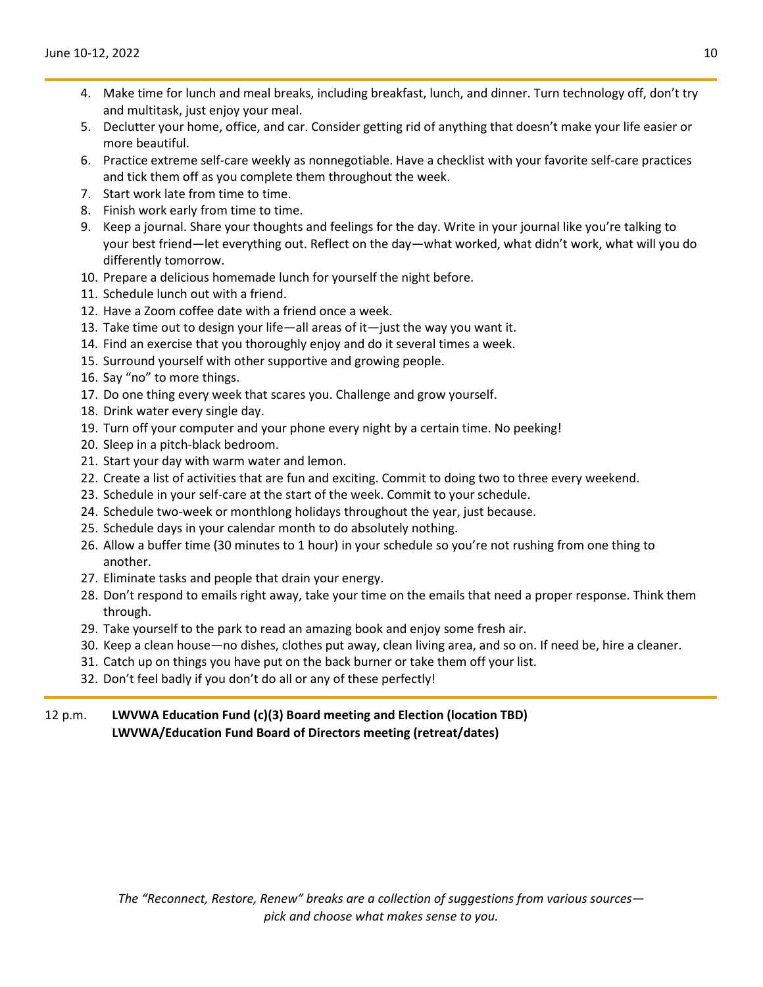- 4. Make time for lunch and meal breaks, including breakfast, lunch, and dinner. Turn technology off, don't try and multitask, just enjoy your meal.
- 5. Declutter your home, office, and car. Consider getting rid of anything that doesn't make your life easier or more beautiful.
- 6. Practice extreme self-care weekly as nonnegotiable. Have a checklist with your favorite self-care practices and tick them off as you complete them throughout the week.
- 7. Start work late from time to time.
- 8. Finish work early from time to time.
- 9. Keep a journal. Share your thoughts and feelings for the day. Write in your journal like you're talking to your best friend—let everything out. Reflect on the day—what worked, what didn't work, what will you do differently tomorrow.
- 10. Prepare a delicious homemade lunch for yourself the night before.
- 11. Schedule lunch out with a friend.
- 12. Have a Zoom coffee date with a friend once a week.
- 13. Take time out to design your life—all areas of it—just the way you want it.
- 14. Find an exercise that you thoroughly enjoy and do it several times a week.
- 15. Surround yourself with other supportive and growing people.
- 16. Say "no" to more things.
- 17. Do one thing every week that scares you. Challenge and grow yourself.
- 18. Drink water every single day.
- 19. Turn off your computer and your phone every night by a certain time. No peeking!
- 20. Sleep in a pitch-black bedroom.
- 21. Start your day with warm water and lemon.
- 22. Create a list of activities that are fun and exciting. Commit to doing two to three every weekend.
- 23. Schedule in your self-care at the start of the week. Commit to your schedule.
- 24. Schedule two-week or monthlong holidays throughout the year, just because.
- 25. Schedule days in your calendar month to do absolutely nothing.
- 26. Allow a buffer time (30 minutes to 1 hour) in your schedule so you're not rushing from one thing to another.
- 27. Eliminate tasks and people that drain your energy.
- 28. Don't respond to emails right away, take your time on the emails that need a proper response. Think them through.
- 29. Take yourself to the park to read an amazing book and enjoy some fresh air.
- 30. Keep a clean house—no dishes, clothes put away, clean living area, and so on. If need be, hire a cleaner.
- 31. Catch up on things you have put on the back burner or take them off your list.
- 32. Don't feel badly if you don't do all or any of these perfectly!

## 12 p.m. **LWVWA Education Fund (c)(3) Board meeting and Election (location TBD) LWVWA/Education Fund Board of Directors meeting (retreat/dates)**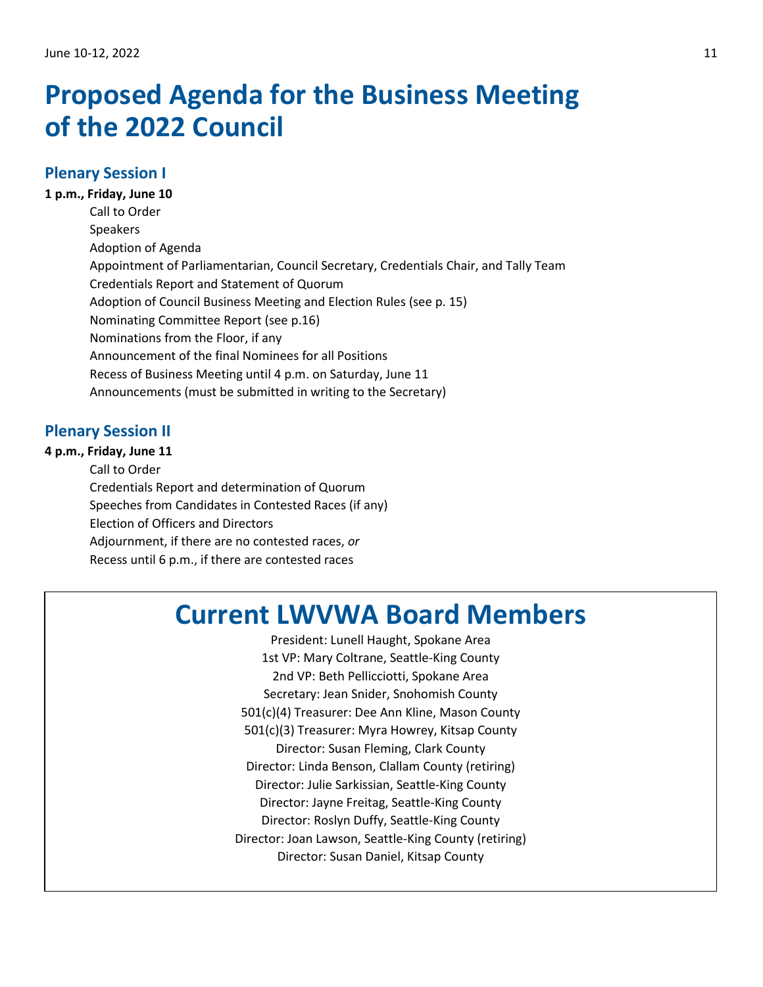# <span id="page-10-1"></span><span id="page-10-0"></span>**Proposed Agenda for the Business Meeting of the 2022 Council**

# **Plenary Session I**

**1 p.m., Friday, June 10** Call to Order Speakers Adoption of Agenda Appointment of Parliamentarian, Council Secretary, Credentials Chair, and Tally Team Credentials Report and Statement of Quorum Adoption of Council Business Meeting and Election Rules (see p. 15) Nominating Committee Report (see p.16) Nominations from the Floor, if any Announcement of the final Nominees for all Positions Recess of Business Meeting until 4 p.m. on Saturday, June 11 Announcements (must be submitted in writing to the Secretary)

# **Plenary Session II**

**4 p.m., Friday, June 11** Call to Order Credentials Report and determination of Quorum Speeches from Candidates in Contested Races (if any) Election of Officers and Directors Adjournment, if there are no contested races, *or* Recess until 6 p.m., if there are contested races

# **Current LWVWA Board Members**

President: Lunell Haught, Spokane Area 1st VP: Mary Coltrane, Seattle-King County 2nd VP: Beth Pellicciotti, Spokane Area Secretary: Jean Snider, Snohomish County 501(c)(4) Treasurer: Dee Ann Kline, Mason County 501(c)(3) Treasurer: Myra Howrey, Kitsap County Director: Susan Fleming, Clark County Director: Linda Benson, Clallam County (retiring) Director: Julie Sarkissian, Seattle-King County Director: Jayne Freitag, Seattle-King County Director: Roslyn Duffy, Seattle-King County Director: Joan Lawson, Seattle-King County (retiring) Director: Susan Daniel, Kitsap County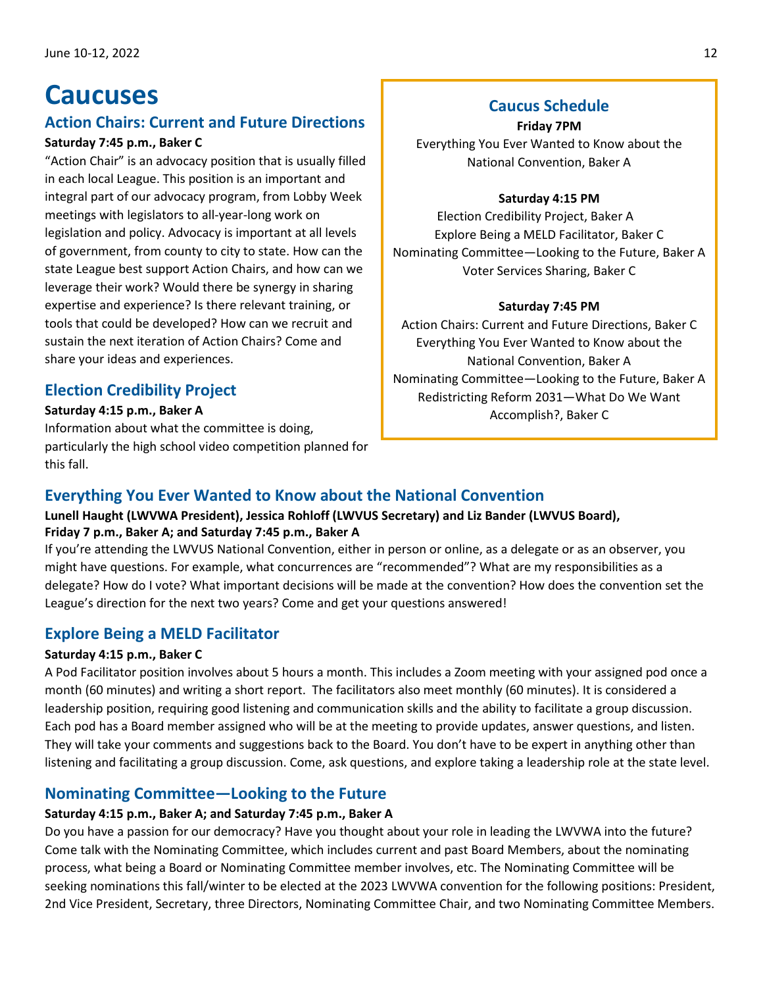# <span id="page-11-0"></span>**Caucuses**

# **Action Chairs: Current and Future Directions**

# **Saturday 7:45 p.m., Baker C**

"Action Chair" is an advocacy position that is usually filled in each local League. This position is an important and integral part of our advocacy program, from Lobby Week meetings with legislators to all-year-long work on legislation and policy. Advocacy is important at all levels of government, from county to city to state. How can the state League best support Action Chairs, and how can we leverage their work? Would there be synergy in sharing expertise and experience? Is there relevant training, or tools that could be developed? How can we recruit and sustain the next iteration of Action Chairs? Come and share your ideas and experiences.

# **Election Credibility Project**

## **Saturday 4:15 p.m., Baker A**

Information about what the committee is doing, particularly the high school video competition planned for this fall.

# **Caucus Schedule**

**Friday 7PM** Everything You Ever Wanted to Know about the National Convention, Baker A

## **Saturday 4:15 PM**

Election Credibility Project, Baker A Explore Being a MELD Facilitator, Baker C Nominating Committee—Looking to the Future, Baker A Voter Services Sharing, Baker C

## **Saturday 7:45 PM**

Action Chairs: Current and Future Directions, Baker C Everything You Ever Wanted to Know about the National Convention, Baker A Nominating Committee—Looking to the Future, Baker A Redistricting Reform 2031—What Do We Want Accomplish?, Baker C

# **Everything You Ever Wanted to Know about the National Convention**

# **Lunell Haught (LWVWA President), Jessica Rohloff (LWVUS Secretary) and Liz Bander (LWVUS Board), Friday 7 p.m., Baker A; and Saturday 7:45 p.m., Baker A**

If you're attending the LWVUS National Convention, either in person or online, as a delegate or as an observer, you might have questions. For example, what concurrences are "recommended"? What are my responsibilities as a delegate? How do I vote? What important decisions will be made at the convention? How does the convention set the League's direction for the next two years? Come and get your questions answered!

# **Explore Being a MELD Facilitator**

# **Saturday 4:15 p.m., Baker C**

A Pod Facilitator position involves about 5 hours a month. This includes a Zoom meeting with your assigned pod once a month (60 minutes) and writing a short report. The facilitators also meet monthly (60 minutes). It is considered a leadership position, requiring good listening and communication skills and the ability to facilitate a group discussion. Each pod has a Board member assigned who will be at the meeting to provide updates, answer questions, and listen. They will take your comments and suggestions back to the Board. You don't have to be expert in anything other than listening and facilitating a group discussion. Come, ask questions, and explore taking a leadership role at the state level.

# **Nominating Committee—Looking to the Future**

# **Saturday 4:15 p.m., Baker A; and Saturday 7:45 p.m., Baker A**

Do you have a passion for our democracy? Have you thought about your role in leading the LWVWA into the future? Come talk with the Nominating Committee, which includes current and past Board Members, about the nominating process, what being a Board or Nominating Committee member involves, etc. The Nominating Committee will be seeking nominations this fall/winter to be elected at the 2023 LWVWA convention for the following positions: President, 2nd Vice President, Secretary, three Directors, Nominating Committee Chair, and two Nominating Committee Members.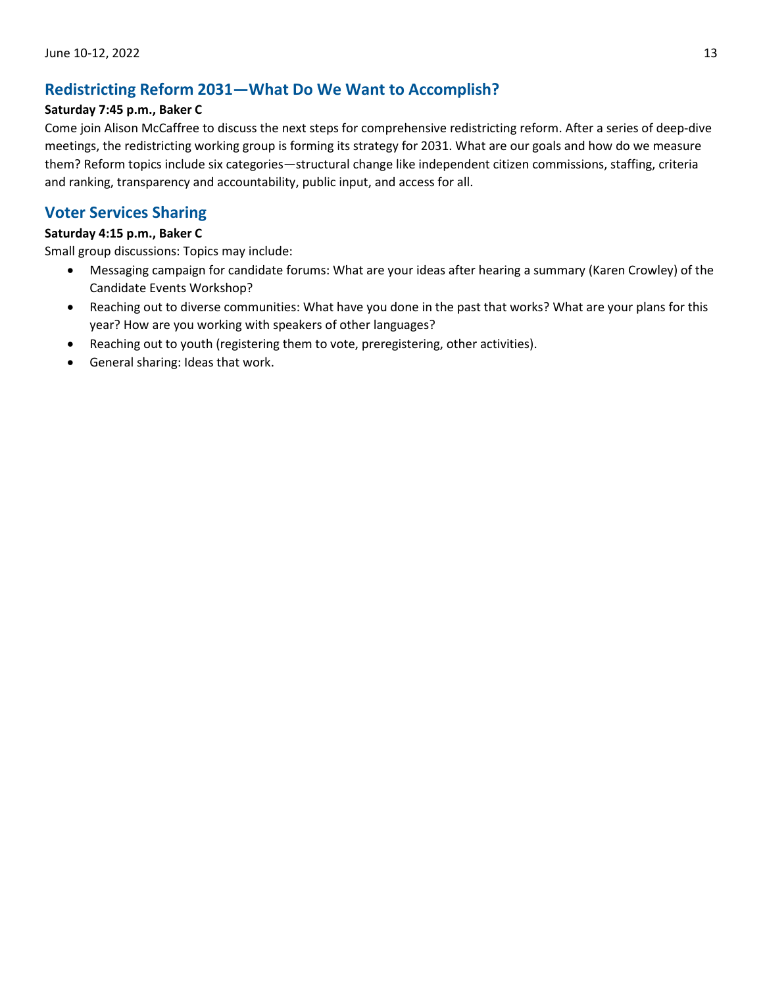# **Redistricting Reform 2031—What Do We Want to Accomplish?**

## **Saturday 7:45 p.m., Baker C**

Come join Alison McCaffree to discuss the next steps for comprehensive redistricting reform. After a series of deep-dive meetings, the redistricting working group is forming its strategy for 2031. What are our goals and how do we measure them? Reform topics include six categories—structural change like independent citizen commissions, staffing, criteria and ranking, transparency and accountability, public input, and access for all.

# **Voter Services Sharing**

## **Saturday 4:15 p.m., Baker C**

Small group discussions: Topics may include:

- Messaging campaign for candidate forums: What are your ideas after hearing a summary (Karen Crowley) of the Candidate Events Workshop?
- Reaching out to diverse communities: What have you done in the past that works? What are your plans for this year? How are you working with speakers of other languages?
- Reaching out to youth (registering them to vote, preregistering, other activities).
- General sharing: Ideas that work.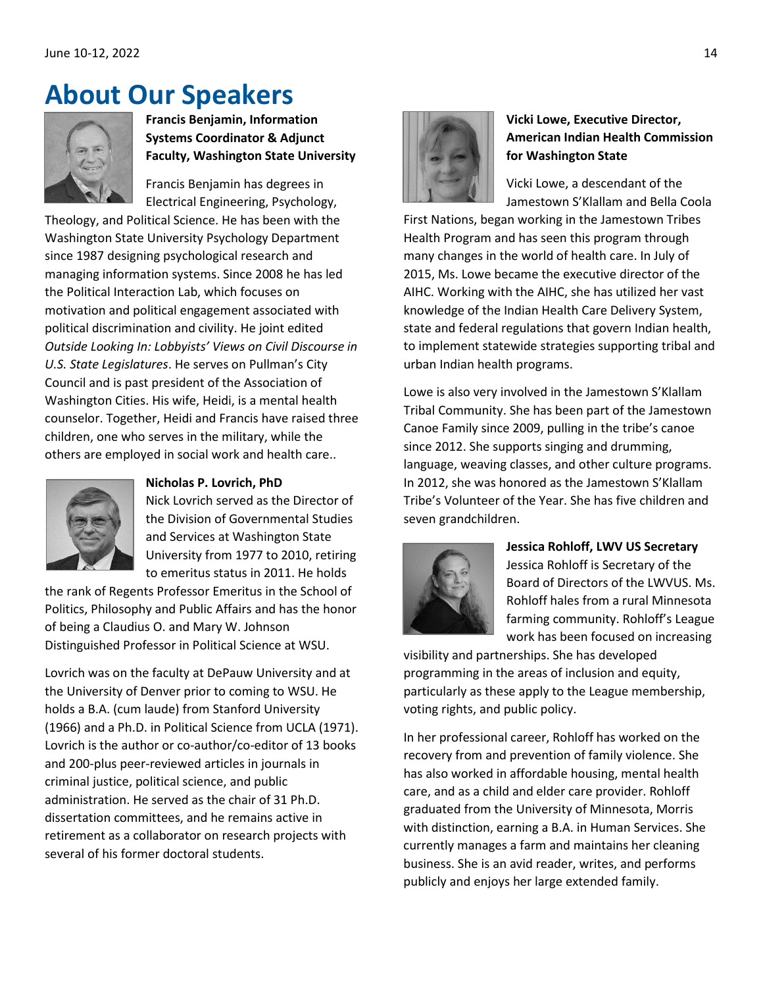# <span id="page-13-0"></span>**About Our Speakers**



# **Francis Benjamin, Information Systems Coordinator & Adjunct Faculty, Washington State University**

Francis Benjamin has degrees in Electrical Engineering, Psychology,

Theology, and Political Science. He has been with the Washington State University Psychology Department since 1987 designing psychological research and managing information systems. Since 2008 he has led the Political Interaction Lab, which focuses on motivation and political engagement associated with political discrimination and civility. He joint edited *Outside Looking In: Lobbyists' Views on Civil Discourse in U.S. State Legislatures*. He serves on Pullman's City Council and is past president of the Association of Washington Cities. His wife, Heidi, is a mental health counselor. Together, Heidi and Francis have raised three children, one who serves in the military, while the others are employed in social work and health care..



## **Nicholas P. Lovrich, PhD**

Nick Lovrich served as the Director of the Division of Governmental Studies and Services at Washington State University from 1977 to 2010, retiring to emeritus status in 2011. He holds

the rank of Regents Professor Emeritus in the School of Politics, Philosophy and Public Affairs and has the honor of being a Claudius O. and Mary W. Johnson Distinguished Professor in Political Science at WSU.

Lovrich was on the faculty at DePauw University and at the University of Denver prior to coming to WSU. He holds a B.A. (cum laude) from Stanford University (1966) and a Ph.D. in Political Science from UCLA (1971). Lovrich is the author or co-author/co-editor of 13 books and 200-plus peer-reviewed articles in journals in criminal justice, political science, and public administration. He served as the chair of 31 Ph.D. dissertation committees, and he remains active in retirement as a collaborator on research projects with several of his former doctoral students.



# **Vicki Lowe, Executive Director, American Indian Health Commission for Washington State**

Vicki Lowe, a descendant of the Jamestown S'Klallam and Bella Coola

First Nations, began working in the Jamestown Tribes Health Program and has seen this program through many changes in the world of health care. In July of 2015, Ms. Lowe became the executive director of the AIHC. Working with the AIHC, she has utilized her vast knowledge of the Indian Health Care Delivery System, state and federal regulations that govern Indian health, to implement statewide strategies supporting tribal and urban Indian health programs.

Lowe is also very involved in the Jamestown S'Klallam Tribal Community. She has been part of the Jamestown Canoe Family since 2009, pulling in the tribe's canoe since 2012. She supports singing and drumming, language, weaving classes, and other culture programs. In 2012, she was honored as the Jamestown S'Klallam Tribe's Volunteer of the Year. She has five children and seven grandchildren.



# **Jessica Rohloff, LWV US Secretary**  Jessica Rohloff is Secretary of the Board of Directors of the LWVUS. Ms. Rohloff hales from a rural Minnesota farming community. Rohloff's League work has been focused on increasing

visibility and partnerships. She has developed programming in the areas of inclusion and equity, particularly as these apply to the League membership, voting rights, and public policy.

In her professional career, Rohloff has worked on the recovery from and prevention of family violence. She has also worked in affordable housing, mental health care, and as a child and elder care provider. Rohloff graduated from the University of Minnesota, Morris with distinction, earning a B.A. in Human Services. She currently manages a farm and maintains her cleaning business. She is an avid reader, writes, and performs publicly and enjoys her large extended family.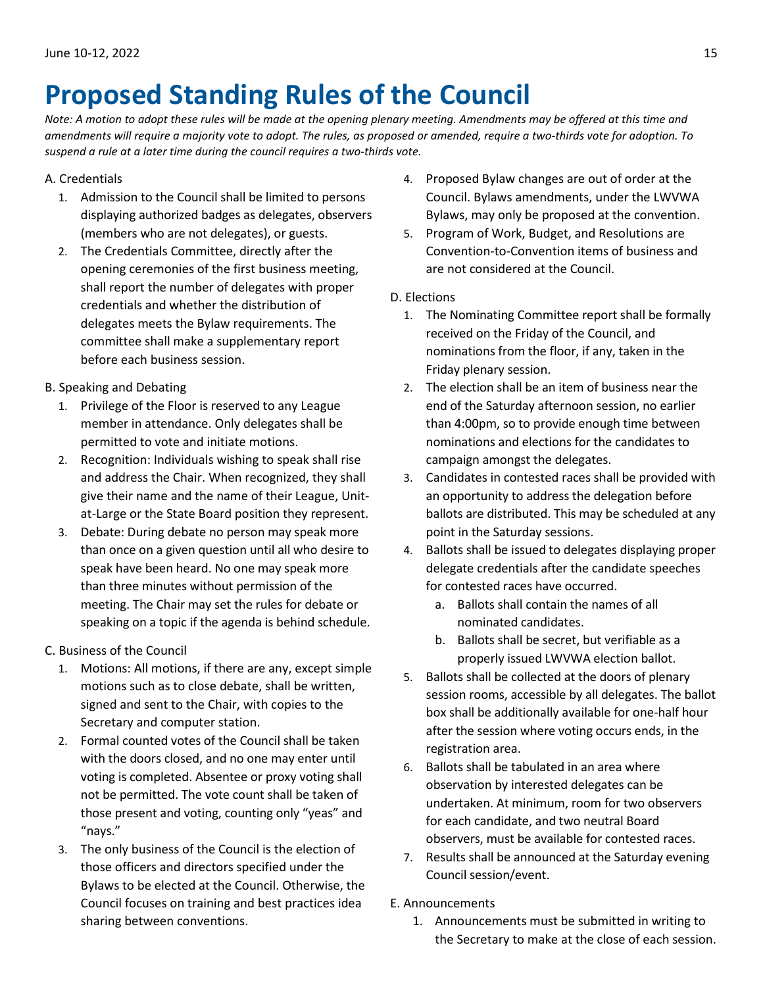# <span id="page-14-0"></span>**Proposed Standing Rules of the Council**

*Note: A motion to adopt these rules will be made at the opening plenary meeting. Amendments may be offered at this time and amendments will require a majority vote to adopt. The rules, as proposed or amended, require a two-thirds vote for adoption. To suspend a rule at a later time during the council requires a two-thirds vote.*

## A. Credentials

- 1. Admission to the Council shall be limited to persons displaying authorized badges as delegates, observers (members who are not delegates), or guests.
- 2. The Credentials Committee, directly after the opening ceremonies of the first business meeting, shall report the number of delegates with proper credentials and whether the distribution of delegates meets the Bylaw requirements. The committee shall make a supplementary report before each business session.
- B. Speaking and Debating
	- 1. Privilege of the Floor is reserved to any League member in attendance. Only delegates shall be permitted to vote and initiate motions.
	- 2. Recognition: Individuals wishing to speak shall rise and address the Chair. When recognized, they shall give their name and the name of their League, Unitat-Large or the State Board position they represent.
	- 3. Debate: During debate no person may speak more than once on a given question until all who desire to speak have been heard. No one may speak more than three minutes without permission of the meeting. The Chair may set the rules for debate or speaking on a topic if the agenda is behind schedule.
- C. Business of the Council
	- 1. Motions: All motions, if there are any, except simple motions such as to close debate, shall be written, signed and sent to the Chair, with copies to the Secretary and computer station.
	- 2. Formal counted votes of the Council shall be taken with the doors closed, and no one may enter until voting is completed. Absentee or proxy voting shall not be permitted. The vote count shall be taken of those present and voting, counting only "yeas" and "nays."
	- 3. The only business of the Council is the election of those officers and directors specified under the Bylaws to be elected at the Council. Otherwise, the Council focuses on training and best practices idea sharing between conventions.
- 4. Proposed Bylaw changes are out of order at the Council. Bylaws amendments, under the LWVWA Bylaws, may only be proposed at the convention.
- 5. Program of Work, Budget, and Resolutions are Convention-to-Convention items of business and are not considered at the Council.
- D. Elections
	- 1. The Nominating Committee report shall be formally received on the Friday of the Council, and nominations from the floor, if any, taken in the Friday plenary session.
	- 2. The election shall be an item of business near the end of the Saturday afternoon session, no earlier than 4:00pm, so to provide enough time between nominations and elections for the candidates to campaign amongst the delegates.
	- 3. Candidates in contested races shall be provided with an opportunity to address the delegation before ballots are distributed. This may be scheduled at any point in the Saturday sessions.
	- 4. Ballots shall be issued to delegates displaying proper delegate credentials after the candidate speeches for contested races have occurred.
		- a. Ballots shall contain the names of all nominated candidates.
		- b. Ballots shall be secret, but verifiable as a properly issued LWVWA election ballot.
	- 5. Ballots shall be collected at the doors of plenary session rooms, accessible by all delegates. The ballot box shall be additionally available for one-half hour after the session where voting occurs ends, in the registration area.
	- 6. Ballots shall be tabulated in an area where observation by interested delegates can be undertaken. At minimum, room for two observers for each candidate, and two neutral Board observers, must be available for contested races.
	- 7. Results shall be announced at the Saturday evening Council session/event.

## E. Announcements

1. Announcements must be submitted in writing to the Secretary to make at the close of each session.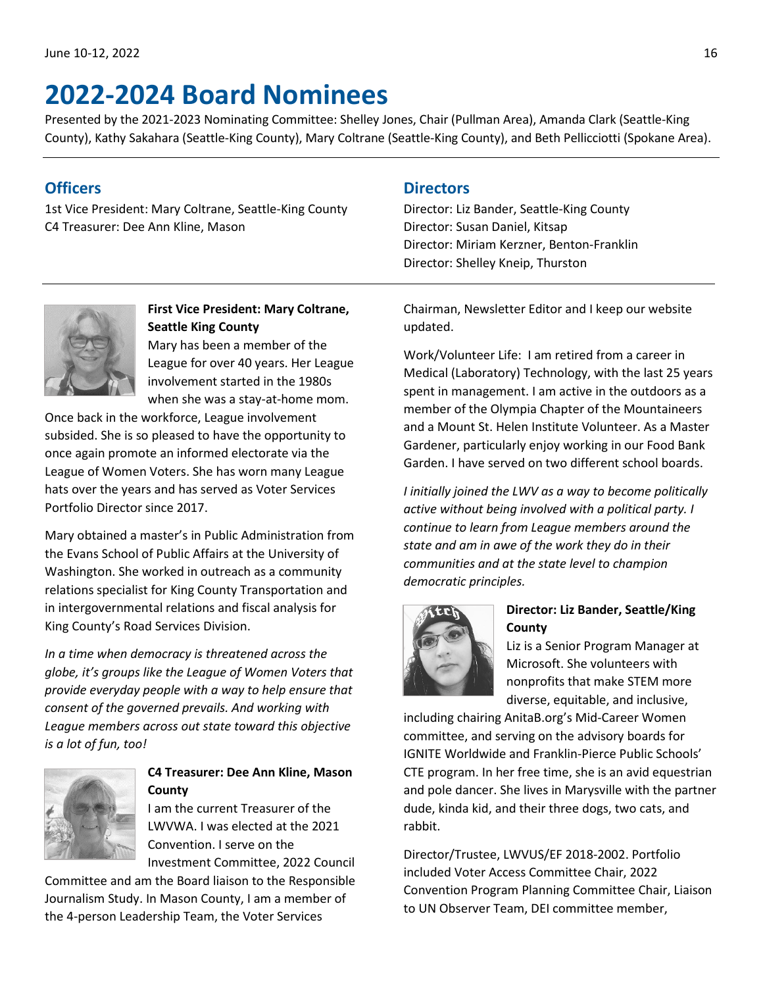# <span id="page-15-0"></span>**2022-2024 Board Nominees**

Presented by the 2021-2023 Nominating Committee: Shelley Jones, Chair (Pullman Area), Amanda Clark (Seattle-King County), Kathy Sakahara (Seattle-King County), Mary Coltrane (Seattle-King County), and Beth Pellicciotti (Spokane Area).

# **Officers**

1st Vice President: Mary Coltrane, Seattle-King County C4 Treasurer: Dee Ann Kline, Mason

# **Directors**

Director: Liz Bander, Seattle-King County Director: Susan Daniel, Kitsap Director: Miriam Kerzner, Benton-Franklin Director: Shelley Kneip, Thurston



**First Vice President: Mary Coltrane, Seattle King County**  Mary has been a member of the League for over 40 years. Her League involvement started in the 1980s when she was a stay-at-home mom.

Once back in the workforce, League involvement subsided. She is so pleased to have the opportunity to once again promote an informed electorate via the League of Women Voters. She has worn many League hats over the years and has served as Voter Services Portfolio Director since 2017.

Mary obtained a master's in Public Administration from the Evans School of Public Affairs at the University of Washington. She worked in outreach as a community relations specialist for King County Transportation and in intergovernmental relations and fiscal analysis for King County's Road Services Division.

*In a time when democracy is threatened across the globe, it's groups like the League of Women Voters that provide everyday people with a way to help ensure that consent of the governed prevails. And working with League members across out state toward this objective is a lot of fun, too!*



## **C4 Treasurer: Dee Ann Kline, Mason County**

I am the current Treasurer of the LWVWA. I was elected at the 2021 Convention. I serve on the Investment Committee, 2022 Council

Committee and am the Board liaison to the Responsible Journalism Study. In Mason County, I am a member of the 4-person Leadership Team, the Voter Services

Chairman, Newsletter Editor and I keep our website updated.

Work/Volunteer Life: I am retired from a career in Medical (Laboratory) Technology, with the last 25 years spent in management. I am active in the outdoors as a member of the Olympia Chapter of the Mountaineers and a Mount St. Helen Institute Volunteer. As a Master Gardener, particularly enjoy working in our Food Bank Garden. I have served on two different school boards.

*I initially joined the LWV as a way to become politically active without being involved with a political party. I continue to learn from League members around the state and am in awe of the work they do in their communities and at the state level to champion democratic principles.*



# **Director: Liz Bander, Seattle/King County**

Liz is a Senior Program Manager at Microsoft. She volunteers with nonprofits that make STEM more diverse, equitable, and inclusive,

including chairing AnitaB.org's Mid-Career Women committee, and serving on the advisory boards for IGNITE Worldwide and Franklin-Pierce Public Schools' CTE program. In her free time, she is an avid equestrian and pole dancer. She lives in Marysville with the partner dude, kinda kid, and their three dogs, two cats, and rabbit.

Director/Trustee, LWVUS/EF 2018-2002. Portfolio included Voter Access Committee Chair, 2022 Convention Program Planning Committee Chair, Liaison to UN Observer Team, DEI committee member,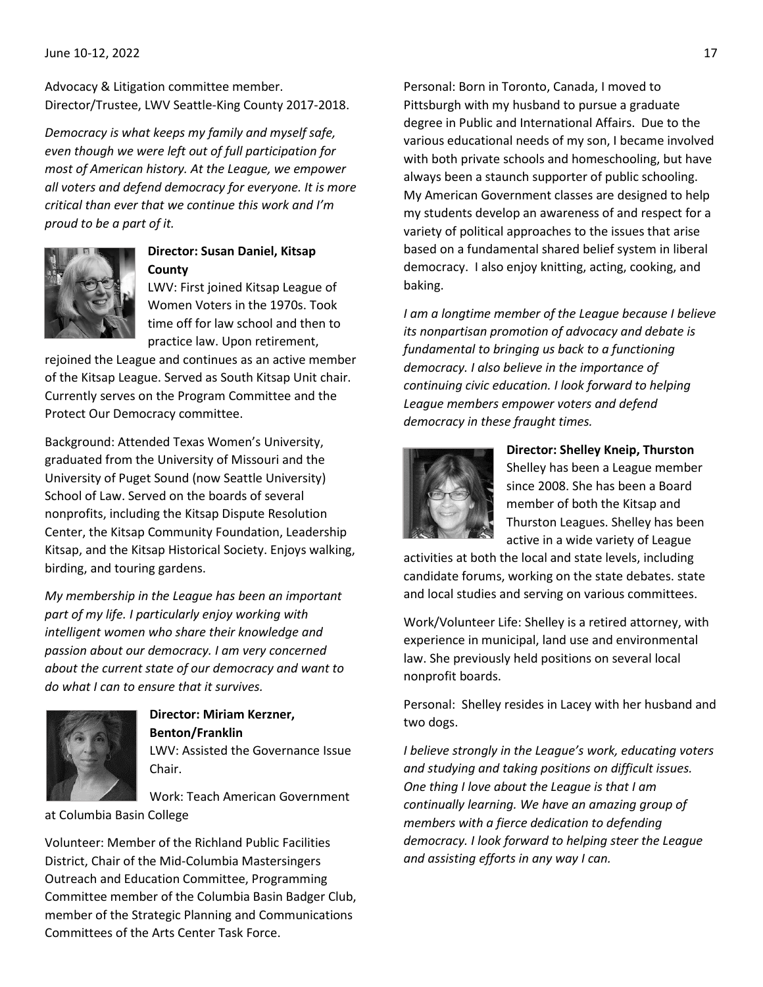Advocacy & Litigation committee member. Director/Trustee, LWV Seattle-King County 2017-2018.

*Democracy is what keeps my family and myself safe, even though we were left out of full participation for most of American history. At the League, we empower all voters and defend democracy for everyone. It is more critical than ever that we continue this work and I'm proud to be a part of it.*



## **Director: Susan Daniel, Kitsap County**

LWV: First joined Kitsap League of Women Voters in the 1970s. Took time off for law school and then to practice law. Upon retirement,

rejoined the League and continues as an active member of the Kitsap League. Served as South Kitsap Unit chair. Currently serves on the Program Committee and the Protect Our Democracy committee.

Background: Attended Texas Women's University, graduated from the University of Missouri and the University of Puget Sound (now Seattle University) School of Law. Served on the boards of several nonprofits, including the Kitsap Dispute Resolution Center, the Kitsap Community Foundation, Leadership Kitsap, and the Kitsap Historical Society. Enjoys walking, birding, and touring gardens. 

*My membership in the League has been an important part of my life. I particularly enjoy working with intelligent women who share their knowledge and passion about our democracy. I am very concerned about the current state of our democracy and want to do what I can to ensure that it survives.*



**Director: Miriam Kerzner, Benton/Franklin** LWV: Assisted the Governance Issue Chair.

Work: Teach American Government

at Columbia Basin College

Volunteer: Member of the Richland Public Facilities District, Chair of the Mid-Columbia Mastersingers Outreach and Education Committee, Programming Committee member of the Columbia Basin Badger Club, member of the Strategic Planning and Communications Committees of the Arts Center Task Force.

Personal: Born in Toronto, Canada, I moved to Pittsburgh with my husband to pursue a graduate degree in Public and International Affairs.  Due to the various educational needs of my son, I became involved with both private schools and homeschooling, but have always been a staunch supporter of public schooling.  My American Government classes are designed to help my students develop an awareness of and respect for a variety of political approaches to the issues that arise based on a fundamental shared belief system in liberal democracy.  I also enjoy knitting, acting, cooking, and baking.

*I am a longtime member of the League because I believe its nonpartisan promotion of advocacy and debate is fundamental to bringing us back to a functioning democracy. I also believe in the importance of continuing civic education. I look forward to helping League members empower voters and defend democracy in these fraught times.* 



**Director: Shelley Kneip, Thurston** Shelley has been a League member since 2008. She has been a Board member of both the Kitsap and Thurston Leagues. Shelley has been active in a wide variety of League

activities at both the local and state levels, including candidate forums, working on the state debates. state and local studies and serving on various committees.

Work/Volunteer Life: Shelley is a retired attorney, with experience in municipal, land use and environmental law. She previously held positions on several local nonprofit boards.

Personal: Shelley resides in Lacey with her husband and two dogs.

*I believe strongly in the League's work, educating voters and studying and taking positions on difficult issues. One thing I love about the League is that I am continually learning. We have an amazing group of members with a fierce dedication to defending democracy. I look forward to helping steer the League and assisting efforts in any way I can.*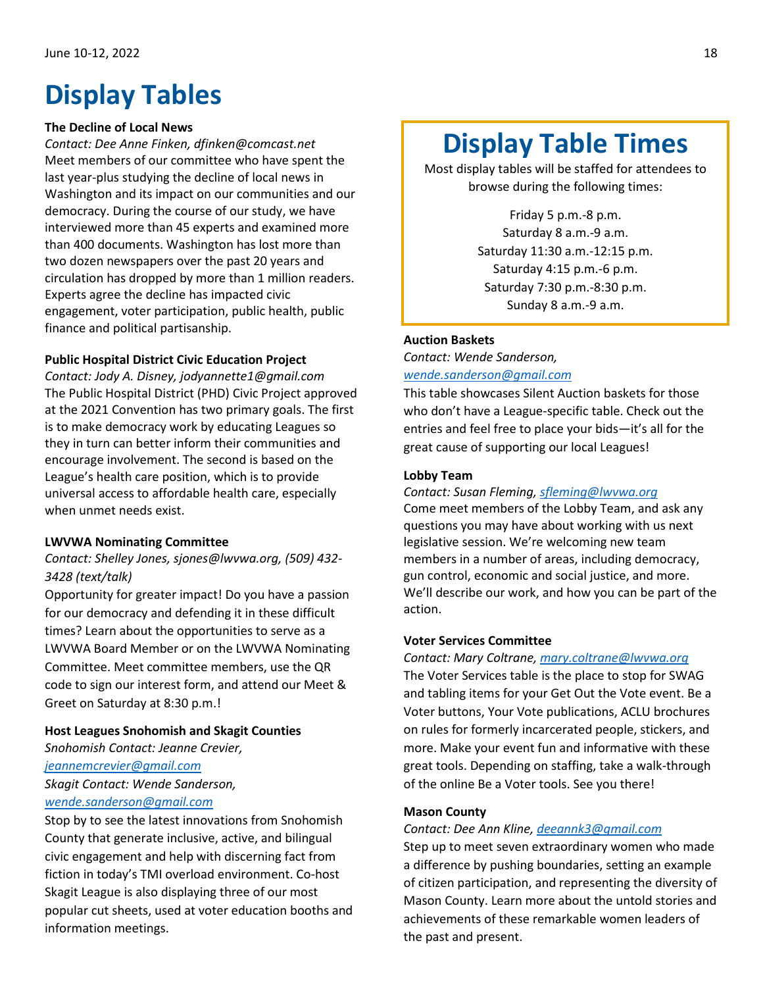# <span id="page-17-0"></span>**Display Tables**

## **The Decline of Local News**

*Contact: Dee Anne Finken, dfinken@comcast.net* Meet members of our committee who have spent the last year-plus studying the decline of local news in Washington and its impact on our communities and our democracy. During the course of our study, we have interviewed more than 45 experts and examined more than 400 documents. Washington has lost more than two dozen newspapers over the past 20 years and circulation has dropped by more than 1 million readers. Experts agree the decline has impacted civic engagement, voter participation, public health, public finance and political partisanship.

## **Public Hospital District Civic Education Project**

*Contact: Jody A. Disney, jodyannette1@gmail.com* The Public Hospital District (PHD) Civic Project approved at the 2021 Convention has two primary goals. The first is to make democracy work by educating Leagues so they in turn can better inform their communities and encourage involvement. The second is based on the League's health care position, which is to provide universal access to affordable health care, especially when unmet needs exist.

### **LWVWA Nominating Committee**

## *Contact: Shelley Jones, sjones@lwvwa.org, (509) 432- 3428 (text/talk)*

Opportunity for greater impact! Do you have a passion for our democracy and defending it in these difficult times? Learn about the opportunities to serve as a LWVWA Board Member or on the LWVWA Nominating Committee. Meet committee members, use the QR code to sign our interest form, and attend our Meet & Greet on Saturday at 8:30 p.m.!

### **Host Leagues Snohomish and Skagit Counties**

*Snohomish Contact: Jeanne Crevier,* 

#### *[jeannemcrevier@gmail.com](mailto:jeannemcrevier@gmail.com)*

*Skagit Contact: Wende Sanderson,* 

## *[wende.sanderson@gmail.com](mailto:wende.sanderson@gmail.com)*

Stop by to see the latest innovations from Snohomish County that generate inclusive, active, and bilingual civic engagement and help with discerning fact from fiction in today's TMI overload environment. Co-host Skagit League is also displaying three of our most popular cut sheets, used at voter education booths and information meetings.

# **Display Table Times**

Most display tables will be staffed for attendees to browse during the following times:

> Friday 5 p.m.-8 p.m. Saturday 8 a.m.-9 a.m. Saturday 11:30 a.m.-12:15 p.m. Saturday 4:15 p.m.-6 p.m. Saturday 7:30 p.m.-8:30 p.m. Sunday 8 a.m.-9 a.m.

### **Auction Baskets**

*Contact: Wende Sanderson, [wende.sanderson@gmail.com](mailto:wende.sanderson@gmail.com)*

This table showcases Silent Auction baskets for those who don't have a League-specific table. Check out the entries and feel free to place your bids—it's all for the great cause of supporting our local Leagues! ĺ

#### **Lobby Team**

*Contact: Susan Fleming[, sfleming@lwvwa.org](mailto:sfleming@lwvwa.org)*

Come meet members of the Lobby Team, and ask any questions you may have about working with us next legislative session. We're welcoming new team members in a number of areas, including democracy, gun control, economic and social justice, and more. We'll describe our work, and how you can be part of the action.

### **Voter Services Committee**

*Contact: Mary Coltrane[, mary.coltrane@lwvwa.org](mailto:mary.coltrane@lwvwa.org)* The Voter Services table is the place to stop for SWAG and tabling items for your Get Out the Vote event. Be a Voter buttons, Your Vote publications, ACLU brochures on rules for formerly incarcerated people, stickers, and more. Make your event fun and informative with these great tools. Depending on staffing, take a walk-through of the online Be a Voter tools. See you there!

### **Mason County**

#### *Contact: Dee Ann Kline, [deeannk3@gmail.com](mailto:deeannk3@gmail.com)*

Step up to meet seven extraordinary women who made a difference by pushing boundaries, setting an example of citizen participation, and representing the diversity of Mason County. Learn more about the untold stories and achievements of these remarkable women leaders of the past and present.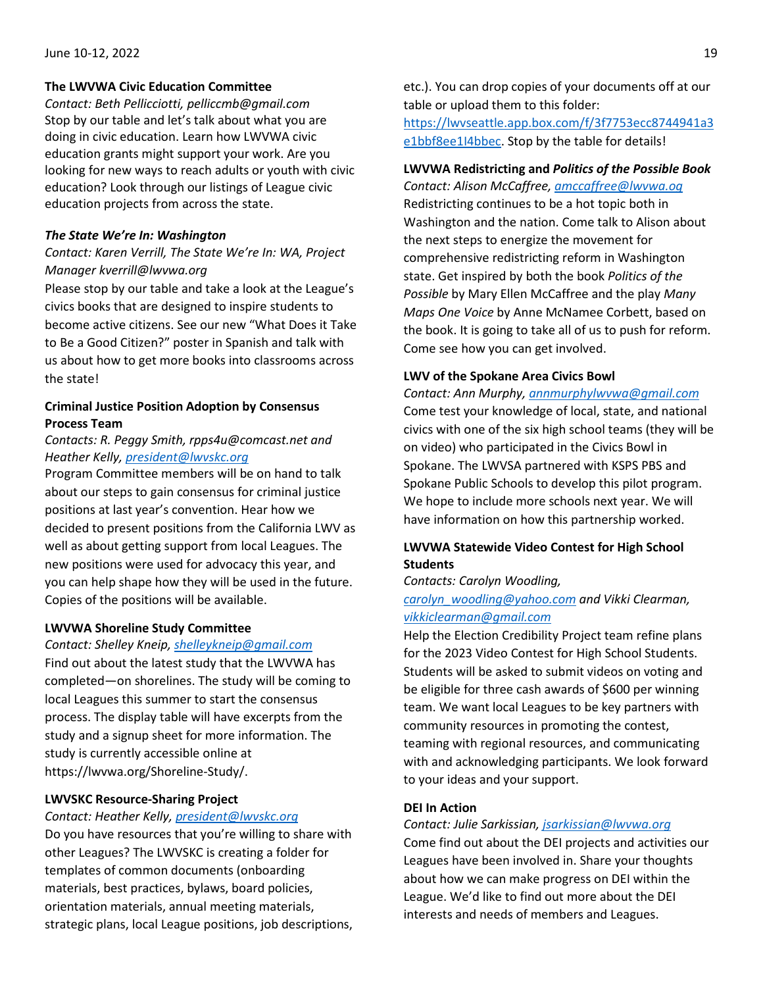### **The LWVWA Civic Education Committee**

*Contact: Beth Pellicciotti, pelliccmb@gmail.com*  Stop by our table and let's talk about what you are doing in civic education. Learn how LWVWA civic education grants might support your work. Are you looking for new ways to reach adults or youth with civic education? Look through our listings of League civic education projects from across the state.

## *The State We're In: Washington*

## *Contact: Karen Verrill, The State We're In: WA, Project Manager kverrill@lwvwa.org*

Please stop by our table and take a look at the League's civics books that are designed to inspire students to become active citizens. See our new "What Does it Take to Be a Good Citizen?" poster in Spanish and talk with us about how to get more books into classrooms across the state!

## **Criminal Justice Position Adoption by Consensus Process Team**

## *Contacts: R. Peggy Smith, rpps4u@comcast.net and Heather Kelly, [president@lwvskc.org](mailto:president@lwvskc.org)*

Program Committee members will be on hand to talk about our steps to gain consensus for criminal justice positions at last year's convention. Hear how we decided to present positions from the California LWV as well as about getting support from local Leagues. The new positions were used for advocacy this year, and you can help shape how they will be used in the future. Copies of the positions will be available.

## **LWVWA Shoreline Study Committee**

### *Contact: Shelley Kneip[, shelleykneip@gmail.com](mailto:shelleykneip@gmail.com)*

Find out about the latest study that the LWVWA has completed—on shorelines. The study will be coming to local Leagues this summer to start the consensus process. The display table will have excerpts from the study and a signup sheet for more information. The study is currently accessible online at https://lwvwa.org/Shoreline-Study/.

### **LWVSKC Resource-Sharing Project**

### *Contact: Heather Kelly, [president@lwvskc.org](mailto:president@lwvskc.org)*

Do you have resources that you're willing to share with other Leagues? The LWVSKC is creating a folder for templates of common documents (onboarding materials, best practices, bylaws, board policies, orientation materials, annual meeting materials, strategic plans, local League positions, job descriptions, etc.). You can drop copies of your documents off at our table or upload them to this folder:

[https://lwvseattle.app.box.com/f/3f7753ecc8744941a3](https://lwvseattle.app.box.com/f/3f7753ecc8744941a3e1bbf8ee1I4bbec) [e1bbf8ee1I4bbec.](https://lwvseattle.app.box.com/f/3f7753ecc8744941a3e1bbf8ee1I4bbec) Stop by the table for details!

## **LWVWA Redistricting and** *Politics of the Possible Book*

*Contact: Alison McCaffree, [amccaffree@lwvwa.og](mailto:amccaffree@lwvwa.og)* Redistricting continues to be a hot topic both in Washington and the nation. Come talk to Alison about the next steps to energize the movement for comprehensive redistricting reform in Washington state. Get inspired by both the book *Politics of the Possible* by Mary Ellen McCaffree and the play *Many Maps One Voice* by Anne McNamee Corbett, based on the book. It is going to take all of us to push for reform. Come see how you can get involved.

### **LWV of the Spokane Area Civics Bowl**

*Contact: Ann Murphy[, annmurphylwvwa@gmail.com](mailto:annmurphylwvwa@gmail.com)* Come test your knowledge of local, state, and national civics with one of the six high school teams (they will be on video) who participated in the Civics Bowl in Spokane. The LWVSA partnered with KSPS PBS and Spokane Public Schools to develop this pilot program. We hope to include more schools next year. We will have information on how this partnership worked.

## **LWVWA Statewide Video Contest for High School Students**

*Contacts: Carolyn Woodling,* 

## *[carolyn\\_woodling@yahoo.com](mailto:carolyn_woodling@yahoo.com) and Vikki Clearman, [vikkiclearman@gmail.com](mailto:vikkiclearman@gmail.com)*

Help the Election Credibility Project team refine plans for the 2023 Video Contest for High School Students. Students will be asked to submit videos on voting and be eligible for three cash awards of \$600 per winning team. We want local Leagues to be key partners with community resources in promoting the contest, teaming with regional resources, and communicating with and acknowledging participants. We look forward to your ideas and your support.

### **DEI In Action**

### *Contact: Julie Sarkissian[, jsarkissian@lwvwa.org](mailto:jsarkissian@lwvwa.org)*

Come find out about the DEI projects and activities our Leagues have been involved in. Share your thoughts about how we can make progress on DEI within the League. We'd like to find out more about the DEI interests and needs of members and Leagues.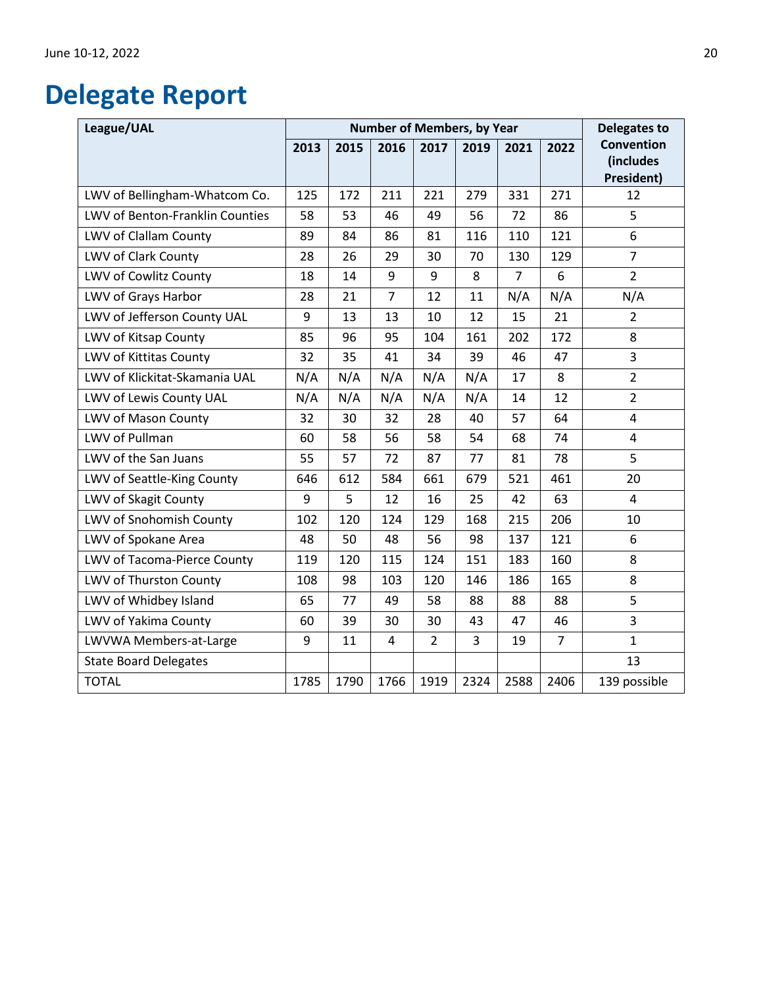# <span id="page-19-0"></span>**Delegate Report**

| League/UAL                      | <b>Number of Members, by Year</b> |      |                |                |      | <b>Delegates to</b> |                |                                                     |
|---------------------------------|-----------------------------------|------|----------------|----------------|------|---------------------|----------------|-----------------------------------------------------|
|                                 | 2013                              | 2015 | 2016           | 2017           | 2019 | 2021                | 2022           | <b>Convention</b><br>(includes<br><b>President)</b> |
| LWV of Bellingham-Whatcom Co.   | 125                               | 172  | 211            | 221            | 279  | 331                 | 271            | 12                                                  |
| LWV of Benton-Franklin Counties | 58                                | 53   | 46             | 49             | 56   | 72                  | 86             | 5                                                   |
| LWV of Clallam County           | 89                                | 84   | 86             | 81             | 116  | 110                 | 121            | 6                                                   |
| LWV of Clark County             | 28                                | 26   | 29             | 30             | 70   | 130                 | 129            | $\overline{7}$                                      |
| LWV of Cowlitz County           | 18                                | 14   | 9              | 9              | 8    | $\overline{7}$      | 6              | $\overline{2}$                                      |
| LWV of Grays Harbor             | 28                                | 21   | $\overline{7}$ | 12             | 11   | N/A                 | N/A            | N/A                                                 |
| LWV of Jefferson County UAL     | 9                                 | 13   | 13             | 10             | 12   | 15                  | 21             | $\overline{2}$                                      |
| LWV of Kitsap County            | 85                                | 96   | 95             | 104            | 161  | 202                 | 172            | 8                                                   |
| LWV of Kittitas County          | 32                                | 35   | 41             | 34             | 39   | 46                  | 47             | 3                                                   |
| LWV of Klickitat-Skamania UAL   | N/A                               | N/A  | N/A            | N/A            | N/A  | 17                  | 8              | $\overline{2}$                                      |
| LWV of Lewis County UAL         | N/A                               | N/A  | N/A            | N/A            | N/A  | 14                  | 12             | $\overline{2}$                                      |
| LWV of Mason County             | 32                                | 30   | 32             | 28             | 40   | 57                  | 64             | 4                                                   |
| LWV of Pullman                  | 60                                | 58   | 56             | 58             | 54   | 68                  | 74             | 4                                                   |
| LWV of the San Juans            | 55                                | 57   | 72             | 87             | 77   | 81                  | 78             | 5                                                   |
| LWV of Seattle-King County      | 646                               | 612  | 584            | 661            | 679  | 521                 | 461            | 20                                                  |
| LWV of Skagit County            | 9                                 | 5    | 12             | 16             | 25   | 42                  | 63             | $\overline{4}$                                      |
| LWV of Snohomish County         | 102                               | 120  | 124            | 129            | 168  | 215                 | 206            | 10                                                  |
| LWV of Spokane Area             | 48                                | 50   | 48             | 56             | 98   | 137                 | 121            | 6                                                   |
| LWV of Tacoma-Pierce County     | 119                               | 120  | 115            | 124            | 151  | 183                 | 160            | 8                                                   |
| LWV of Thurston County          | 108                               | 98   | 103            | 120            | 146  | 186                 | 165            | 8                                                   |
| LWV of Whidbey Island           | 65                                | 77   | 49             | 58             | 88   | 88                  | 88             | 5                                                   |
| LWV of Yakima County            | 60                                | 39   | 30             | 30             | 43   | 47                  | 46             | 3                                                   |
| LWVWA Members-at-Large          | 9                                 | 11   | 4              | $\overline{2}$ | 3    | 19                  | $\overline{7}$ | $\mathbf{1}$                                        |
| <b>State Board Delegates</b>    |                                   |      |                |                |      |                     |                | 13                                                  |
| <b>TOTAL</b>                    | 1785                              | 1790 | 1766           | 1919           | 2324 | 2588                | 2406           | 139 possible                                        |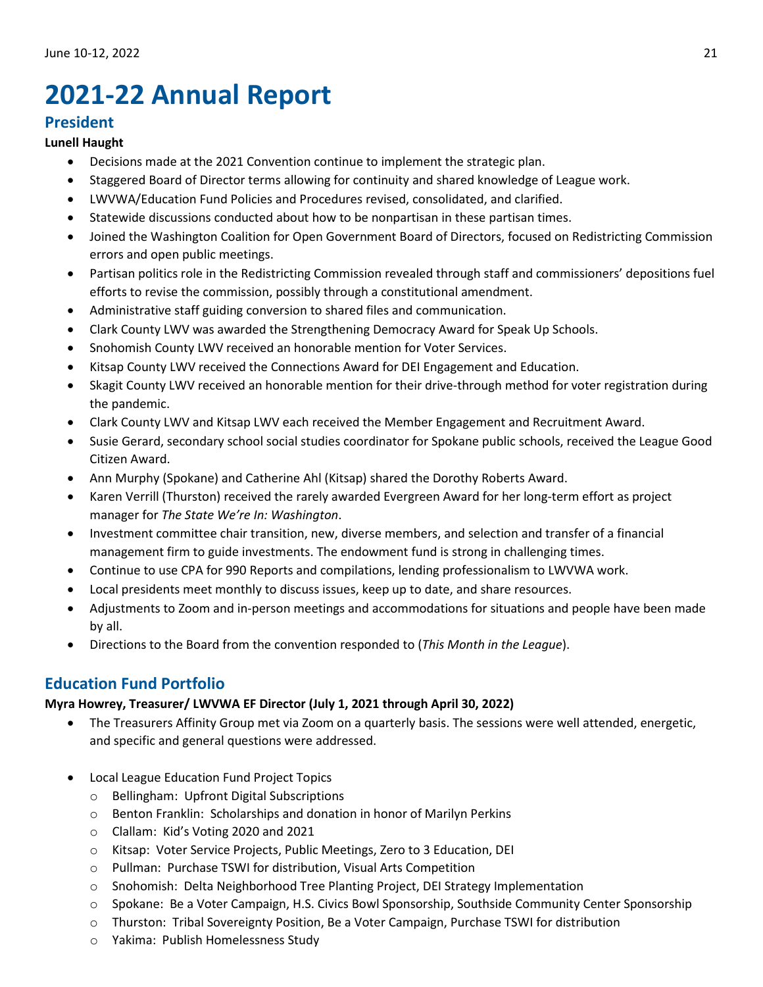# <span id="page-20-0"></span>**2021-22 Annual Report**

# **President**

## **Lunell Haught**

- Decisions made at the 2021 Convention continue to implement the strategic plan.
- Staggered Board of Director terms allowing for continuity and shared knowledge of League work.
- LWVWA/Education Fund Policies and Procedures revised, consolidated, and clarified.
- Statewide discussions conducted about how to be nonpartisan in these partisan times.
- Joined the Washington Coalition for Open Government Board of Directors, focused on Redistricting Commission errors and open public meetings.
- Partisan politics role in the Redistricting Commission revealed through staff and commissioners' depositions fuel efforts to revise the commission, possibly through a constitutional amendment.
- Administrative staff guiding conversion to shared files and communication.
- Clark County LWV was awarded the Strengthening Democracy Award for Speak Up Schools.
- Snohomish County LWV received an honorable mention for Voter Services.
- Kitsap County LWV received the Connections Award for DEI Engagement and Education.
- Skagit County LWV received an honorable mention for their drive-through method for voter registration during the pandemic.
- Clark County LWV and Kitsap LWV each received the Member Engagement and Recruitment Award.
- Susie Gerard, secondary school social studies coordinator for Spokane public schools, received the League Good Citizen Award.
- Ann Murphy (Spokane) and Catherine Ahl (Kitsap) shared the Dorothy Roberts Award.
- Karen Verrill (Thurston) received the rarely awarded Evergreen Award for her long-term effort as project manager for *The State We're In: Washington*.
- Investment committee chair transition, new, diverse members, and selection and transfer of a financial management firm to guide investments. The endowment fund is strong in challenging times.
- Continue to use CPA for 990 Reports and compilations, lending professionalism to LWVWA work.
- Local presidents meet monthly to discuss issues, keep up to date, and share resources.
- Adjustments to Zoom and in-person meetings and accommodations for situations and people have been made by all.
- Directions to the Board from the convention responded to (*This Month in the League*).

# **Education Fund Portfolio**

## **Myra Howrey, Treasurer/ LWVWA EF Director (July 1, 2021 through April 30, 2022)**

- The Treasurers Affinity Group met via Zoom on a quarterly basis. The sessions were well attended, energetic, and specific and general questions were addressed.
- Local League Education Fund Project Topics
	- o Bellingham: Upfront Digital Subscriptions
	- o Benton Franklin: Scholarships and donation in honor of Marilyn Perkins
	- o Clallam: Kid's Voting 2020 and 2021
	- o Kitsap: Voter Service Projects, Public Meetings, Zero to 3 Education, DEI
	- o Pullman: Purchase TSWI for distribution, Visual Arts Competition
	- o Snohomish: Delta Neighborhood Tree Planting Project, DEI Strategy Implementation
	- o Spokane: Be a Voter Campaign, H.S. Civics Bowl Sponsorship, Southside Community Center Sponsorship
	- o Thurston: Tribal Sovereignty Position, Be a Voter Campaign, Purchase TSWI for distribution
	- o Yakima: Publish Homelessness Study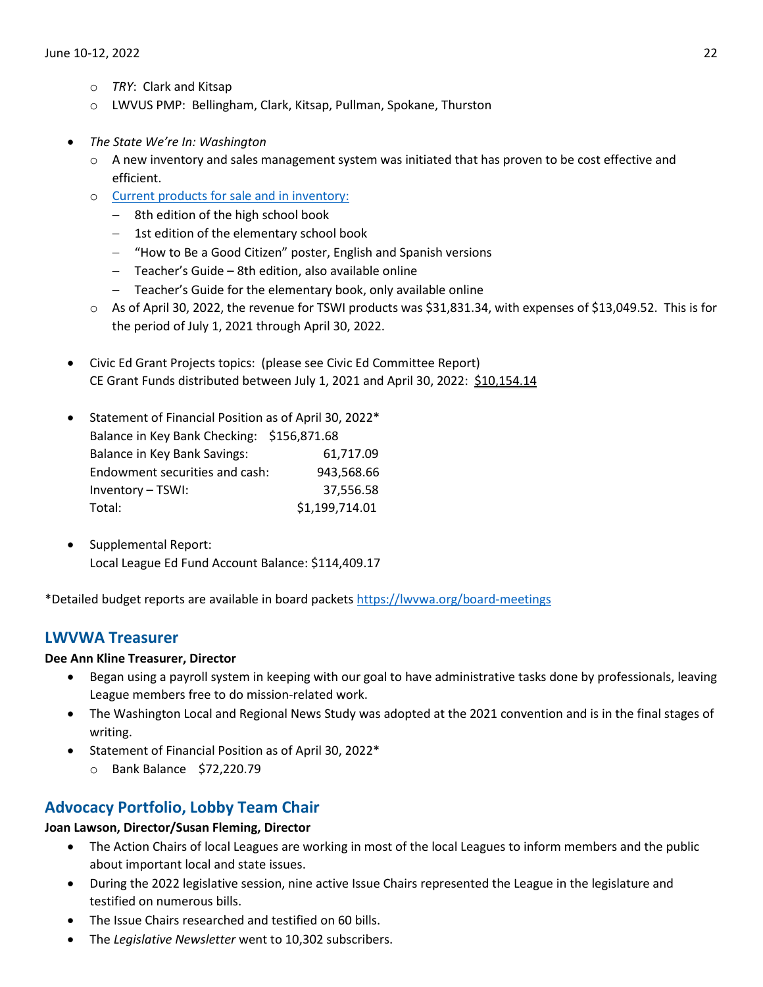- o *TRY*: Clark and Kitsap
- o LWVUS PMP: Bellingham, Clark, Kitsap, Pullman, Spokane, Thurston
- *The State We're In: Washington* 
	- $\circ$  A new inventory and sales management system was initiated that has proven to be cost effective and efficient.
	- o [Current products for sale and in inventory:](https://lwvwa.org/the-state-we-are-in)
		- − 8th edition of the high school book
		- − 1st edition of the elementary school book
		- − "How to Be a Good Citizen" poster, English and Spanish versions
		- − Teacher's Guide 8th edition, also available online
		- − Teacher's Guide for the elementary book, only available online
	- o As of April 30, 2022, the revenue for TSWI products was \$31,831.34, with expenses of \$13,049.52. This is for the period of July 1, 2021 through April 30, 2022.
- Civic Ed Grant Projects topics: (please see Civic Ed Committee Report) CE Grant Funds distributed between July 1, 2021 and April 30, 2022: \$10,154.14
- Statement of Financial Position as of April 30, 2022\* Balance in Key Bank Checking: \$156,871.68 Balance in Key Bank Savings: 61,717.09 Endowment securities and cash: 943,568.66 Inventory – TSWI: 37,556.58 Total: \$1,199,714.01
- Supplemental Report: Local League Ed Fund Account Balance: \$114,409.17

\*Detailed budget reports are available in board packets<https://lwvwa.org/board-meetings>

# **LWVWA Treasurer**

## **Dee Ann Kline Treasurer, Director**

- Began using a payroll system in keeping with our goal to have administrative tasks done by professionals, leaving League members free to do mission-related work.
- The Washington Local and Regional News Study was adopted at the 2021 convention and is in the final stages of writing.
- Statement of Financial Position as of April 30, 2022\*
	- o Bank Balance \$72,220.79

# **Advocacy Portfolio, Lobby Team Chair**

## **Joan Lawson, Director/Susan Fleming, Director**

- The Action Chairs of local Leagues are working in most of the local Leagues to inform members and the public about important local and state issues.
- During the 2022 legislative session, nine active Issue Chairs represented the League in the legislature and testified on numerous bills.
- The Issue Chairs researched and testified on 60 bills.
- The *Legislative Newsletter* went to 10,302 subscribers.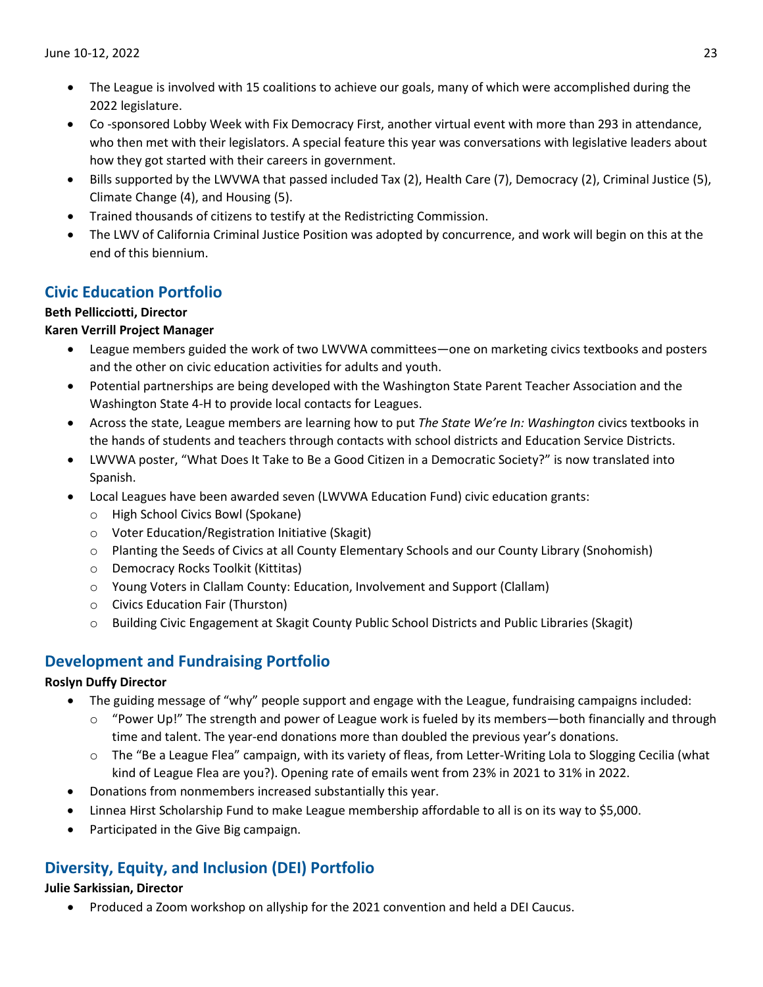- The League is involved with 15 coalitions to achieve our goals, many of which were accomplished during the 2022 legislature.
- Co -sponsored Lobby Week with Fix Democracy First, another virtual event with more than 293 in attendance, who then met with their legislators. A special feature this year was conversations with legislative leaders about how they got started with their careers in government.
- Bills supported by the LWVWA that passed included Tax (2), Health Care (7), Democracy (2), Criminal Justice (5), Climate Change (4), and Housing (5).
- Trained thousands of citizens to testify at the Redistricting Commission.
- The LWV of California Criminal Justice Position was adopted by concurrence, and work will begin on this at the end of this biennium.

# **Civic Education Portfolio**

# **Beth Pellicciotti, Director**

# **Karen Verrill Project Manager**

- League members guided the work of two LWVWA committees—one on marketing civics textbooks and posters and the other on civic education activities for adults and youth.
- Potential partnerships are being developed with the Washington State Parent Teacher Association and the Washington State 4-H to provide local contacts for Leagues.
- Across the state, League members are learning how to put *The State We're In: Washington* civics textbooks in the hands of students and teachers through contacts with school districts and Education Service Districts.
- LWVWA poster, "What Does It Take to Be a Good Citizen in a Democratic Society?" is now translated into Spanish.
- Local Leagues have been awarded seven (LWVWA Education Fund) civic education grants:
	- o High School Civics Bowl (Spokane)
	- o Voter Education/Registration Initiative (Skagit)
	- o Planting the Seeds of Civics at all County Elementary Schools and our County Library (Snohomish)
	- o Democracy Rocks Toolkit (Kittitas)
	- o Young Voters in Clallam County: Education, Involvement and Support (Clallam)
	- o Civics Education Fair (Thurston)
	- o Building Civic Engagement at Skagit County Public School Districts and Public Libraries (Skagit)

# **Development and Fundraising Portfolio**

## **Roslyn Duffy Director**

- The guiding message of "why" people support and engage with the League, fundraising campaigns included:
	- $\circ$  "Power Up!" The strength and power of League work is fueled by its members—both financially and through time and talent. The year-end donations more than doubled the previous year's donations.
	- o The "Be a League Flea" campaign, with its variety of fleas, from Letter-Writing Lola to Slogging Cecilia (what kind of League Flea are you?). Opening rate of emails went from 23% in 2021 to 31% in 2022.
- Donations from nonmembers increased substantially this year.
- Linnea Hirst Scholarship Fund to make League membership affordable to all is on its way to \$5,000.
- Participated in the Give Big campaign.

# **Diversity, Equity, and Inclusion (DEI) Portfolio**

## **Julie Sarkissian, Director**

• Produced a Zoom workshop on allyship for the 2021 convention and held a DEI Caucus.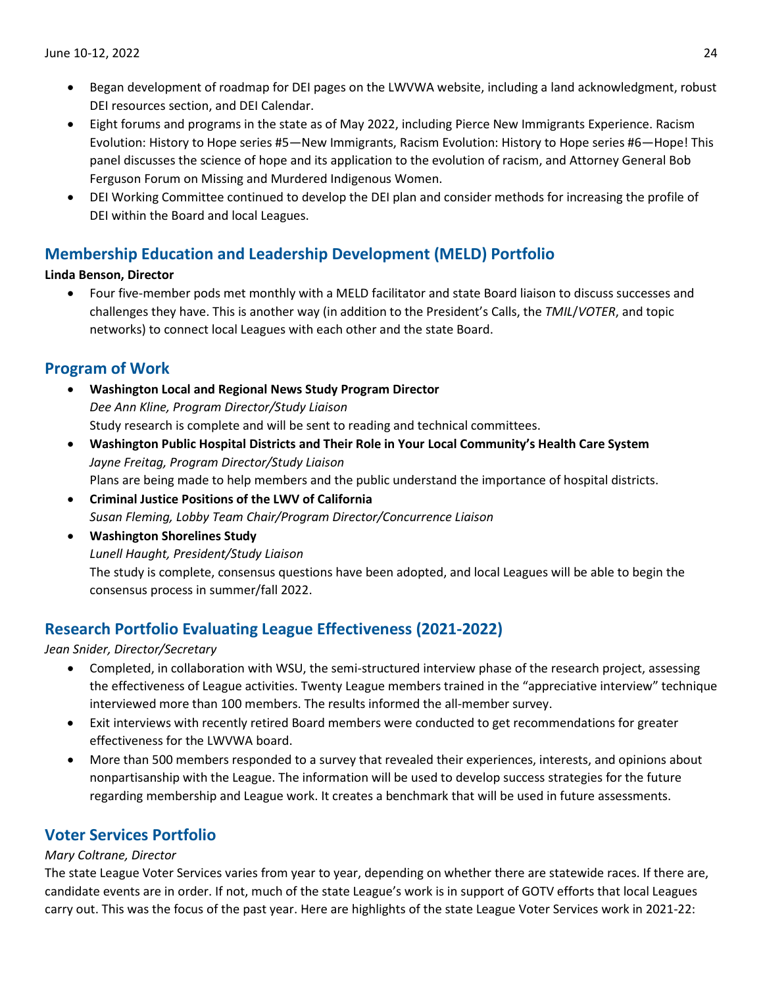- Began development of roadmap for DEI pages on the LWVWA website, including a land acknowledgment, robust DEI resources section, and DEI Calendar.
- Eight forums and programs in the state as of May 2022, including Pierce New Immigrants Experience. Racism Evolution: History to Hope series #5—New Immigrants, Racism Evolution: History to Hope series #6—Hope! This panel discusses the science of hope and its application to the evolution of racism, and Attorney General Bob Ferguson Forum on Missing and Murdered Indigenous Women.
- DEI Working Committee continued to develop the DEI plan and consider methods for increasing the profile of DEI within the Board and local Leagues.

# **Membership Education and Leadership Development (MELD) Portfolio**

## **Linda Benson, Director**

• Four five-member pods met monthly with a MELD facilitator and state Board liaison to discuss successes and challenges they have. This is another way (in addition to the President's Calls, the *TMIL*/*VOTER*, and topic networks) to connect local Leagues with each other and the state Board.

# **Program of Work**

- **Washington Local and Regional News Study Program Director** *Dee Ann Kline, Program Director/Study Liaison* Study research is complete and will be sent to reading and technical committees.
- **Washington Public Hospital Districts and Their Role in Your Local Community's Health Care System**  *Jayne Freitag, Program Director/Study Liaison*  Plans are being made to help members and the public understand the importance of hospital districts.
- **Criminal Justice Positions of the LWV of California** *Susan Fleming, Lobby Team Chair/Program Director/Concurrence Liaison*
- **Washington Shorelines Study** *Lunell Haught, President/Study Liaison* The study is complete, consensus questions have been adopted, and local Leagues will be able to begin the consensus process in summer/fall 2022.

# **Research Portfolio Evaluating League Effectiveness (2021-2022)**

## *Jean Snider, Director/Secretary*

- Completed, in collaboration with WSU, the semi-structured interview phase of the research project, assessing the effectiveness of League activities. Twenty League members trained in the "appreciative interview" technique interviewed more than 100 members. The results informed the all-member survey.
- Exit interviews with recently retired Board members were conducted to get recommendations for greater effectiveness for the LWVWA board.
- More than 500 members responded to a survey that revealed their experiences, interests, and opinions about nonpartisanship with the League. The information will be used to develop success strategies for the future regarding membership and League work. It creates a benchmark that will be used in future assessments.

# **Voter Services Portfolio**

## *Mary Coltrane, Director*

The state League Voter Services varies from year to year, depending on whether there are statewide races. If there are, candidate events are in order. If not, much of the state League's work is in support of GOTV efforts that local Leagues carry out. This was the focus of the past year. Here are highlights of the state League Voter Services work in 2021-22: